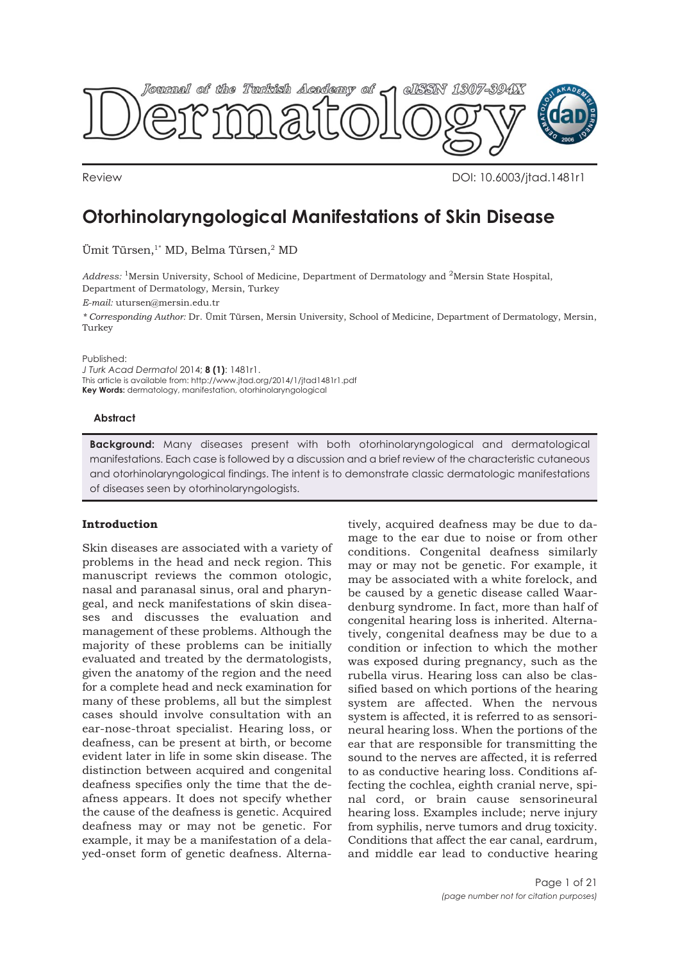

Review DOI: 10.6003/jtad.1481r1

# **Otorhinolaryngological Manifestations of Skin Disease**

Ümit Türsen,<sup>1\*</sup> MD, Belma Türsen,<sup>2</sup> MD

*Address:* 1Mersin University, School of Medicine, Department of Dermatology and 2Mersin State Hospital, Department of Dermatology, Mersin, Turkey

*E-mail:* utursen@mersin.edu.tr

*\* Corresponding Author:* Dr. Ümit Türsen, Mersin University, School of Medicine, Department of Dermatology, Mersin, Turkey

Published:

*J Turk Acad Dermatol* 2014; **8 (1)**: 1481r1. This article is available from: http://www.jtad.org/2014/1/jtad1481r1.pdf **Key Words:** dermatology, manifestation, otorhinolaryngological

#### **Abstract**

**Background:** Many diseases present with both otorhinolaryngological and dermatological manifestations. Each case is followed by a discussion and a brief review of the characteristic cutaneous and otorhinolaryngological findings. The intent is to demonstrate classic dermatologic manifestations of diseases seen by otorhinolaryngologists.

## **Introduction**

Skin diseases are associated with a variety of problems in the head and neck region. This manuscript reviews the common otologic, nasal and paranasal sinus, oral and pharyngeal, and neck manifestations of skin diseases and discusses the evaluation and management of these problems. Although the majority of these problems can be initially evaluated and treated by the dermatologists, given the anatomy of the region and the need for a complete head and neck examination for many of these problems, all but the simplest cases should involve consultation with an ear-nose-throat specialist. Hearing loss, or deafness, can be present at birth, or become evident later in life in some skin disease. The distinction between acquired and congenital deafness specifies only the time that the deafness appears. It does not specify whether the cause of the deafness is genetic. Acquired deafness may or may not be genetic. For example, it may be a manifestation of a delayed-onset form of genetic deafness. Alterna-

tively, acquired deafness may be due to damage to the ear due to noise or from other conditions. Congenital deafness similarly may or may not be genetic. For example, it may be associated with a white forelock, and be caused by a genetic disease called Waardenburg syndrome. In fact, more than half of congenital hearing loss is inherited. Alternatively, congenital deafness may be due to a condition or infection to which the mother was exposed during pregnancy, such as the rubella virus. Hearing loss can also be classified based on which portions of the hearing system are affected. When the nervous system is affected, it is referred to as sensorineural hearing loss. When the portions of the ear that are responsible for transmitting the sound to the nerves are affected, it is referred to as conductive hearing loss. Conditions affecting the cochlea, eighth cranial nerve, spinal cord, or brain cause sensorineural hearing loss. Examples include; nerve injury from syphilis, nerve tumors and drug toxicity. Conditions that affect the ear canal, eardrum, and middle ear lead to conductive hearing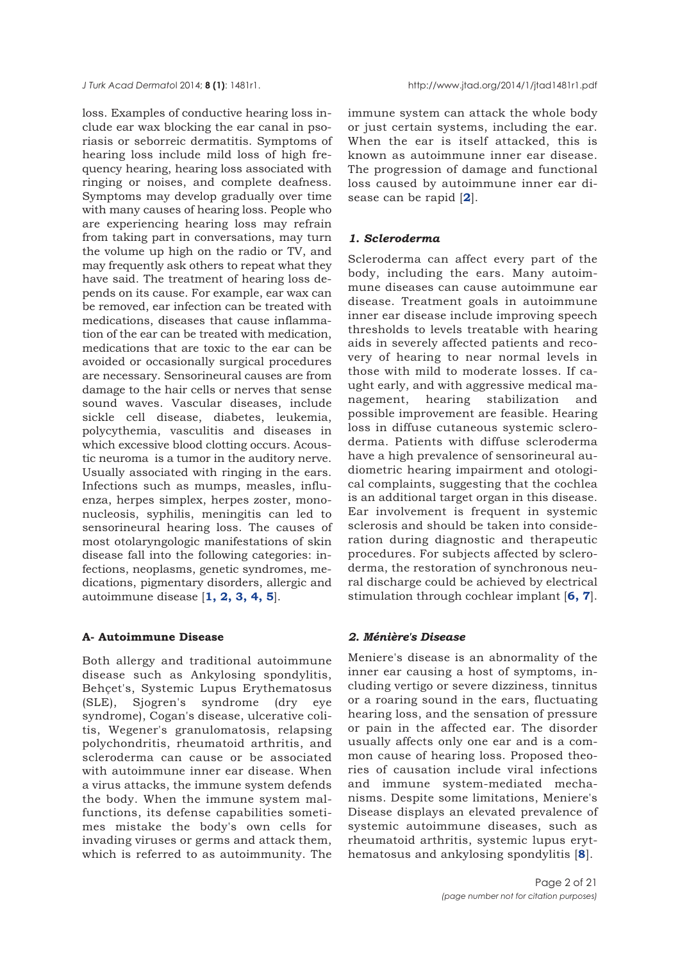loss. Examples of conductive hearing loss include ear wax blocking the ear canal in psoriasis or seborreic dermatitis. Symptoms of hearing loss include mild loss of high frequency hearing, hearing loss associated with ringing or noises, and complete deafness. Symptoms may develop gradually over time with many causes of hearing loss. People who are experiencing hearing loss may refrain from taking part in conversations, may turn the volume up high on the radio or TV, and may frequently ask others to repeat what they have said. The treatment of hearing loss depends on its cause. For example, ear wax can be removed, ear infection can be treated with medications, diseases that cause inflammation of the ear can be treated with medication, medications that are toxic to the ear can be avoided or occasionally surgical procedures are necessary. Sensorineural causes are from damage to the hair cells or nerves that sense sound waves. Vascular diseases, include sickle cell disease, diabetes, leukemia, polycythemia, vasculitis and diseases in which excessive blood clotting occurs. Acoustic neuroma is a tumor in the auditory nerve. Usually associated with ringing in the ears. Infections such as mumps, measles, influenza, herpes simplex, herpes zoster, mononucleosis, syphilis, meningitis can led to sensorineural hearing loss. The causes of most otolaryngologic manifestations of skin disease fall into the following categories: infections, neoplasms, genetic syndromes, medications, pigmentary disorders, allergic and autoimmune disease [**1, 2, 3, 4, 5**].

#### **A- Autoimmune Disease**

Both allergy and traditional autoimmune disease such as Ankylosing spondylitis, Behçet's, Systemic Lupus Erythematosus (SLE), Sjogren's syndrome (dry eye syndrome), Cogan's disease, ulcerative colitis, Wegener's granulomatosis, relapsing polychondritis, rheumatoid arthritis, and scleroderma can cause or be associated with autoimmune inner ear disease. When a virus attacks, the immune system defends the body. When the immune system malfunctions, its defense capabilities sometimes mistake the body's own cells for invading viruses or germs and attack them, which is referred to as autoimmunity. The

immune system can attack the whole body or just certain systems, including the ear. When the ear is itself attacked, this is known as autoimmune inner ear disease. The progression of damage and functional loss caused by autoimmune inner ear disease can be rapid [**2**].

## *1. Scleroderma*

Scleroderma can affect every part of the body, including the ears. Many autoimmune diseases can cause autoimmune ear disease. Treatment goals in autoimmune inner ear disease include improving speech thresholds to levels treatable with hearing aids in severely affected patients and recovery of hearing to near normal levels in those with mild to moderate losses. If caught early, and with aggressive medical management, hearing stabilization and possible improvement are feasible. Hearing loss in diffuse cutaneous systemic scleroderma. Patients with diffuse scleroderma have a high prevalence of sensorineural audiometric hearing impairment and otological complaints, suggesting that the cochlea is an additional target organ in this disease. Ear involvement is frequent in systemic sclerosis and should be taken into consideration during diagnostic and therapeutic procedures. For subjects affected by scleroderma, the restoration of synchronous neural discharge could be achieved by electrical stimulation through cochlear implant [**6, 7**].

#### *2. Ménière's Disease*

Meniere's disease is an abnormality of the inner ear causing a host of symptoms, including vertigo or severe dizziness, tinnitus or a roaring sound in the ears, fluctuating hearing loss, and the sensation of pressure or pain in the affected ear. The disorder usually affects only one ear and is a common cause of hearing loss. Proposed theories of causation include viral infections and immune system-mediated mechanisms. Despite some limitations, Meniere's Disease displays an elevated prevalence of systemic autoimmune diseases, such as rheumatoid arthritis, systemic lupus erythematosus and ankylosing spondylitis [**8**].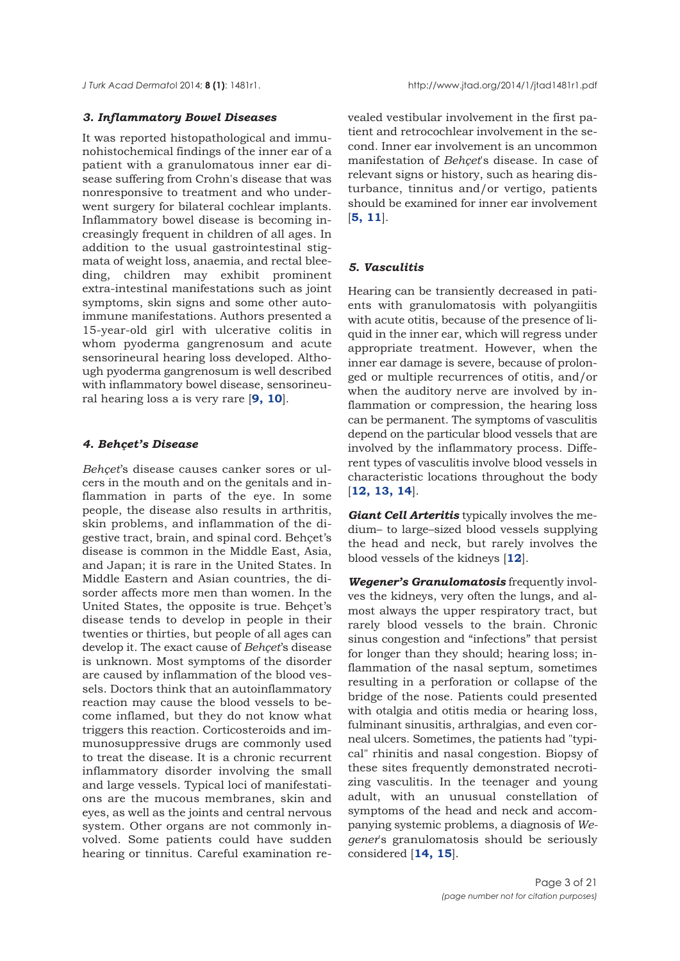## *3. Inflammatory Bowel Diseases*

It was reported histopathological and immunohistochemical findings of the inner ear of a patient with a granulomatous inner ear disease suffering from Crohn's disease that was nonresponsive to treatment and who underwent surgery for bilateral cochlear implants. Inflammatory bowel disease is becoming increasingly frequent in children of all ages. In addition to the usual gastrointestinal stigmata of weight loss, anaemia, and rectal bleeding, children may exhibit prominent extra-intestinal manifestations such as joint symptoms, skin signs and some other autoimmune manifestations. Authors presented a 15-year-old girl with ulcerative colitis in whom pyoderma gangrenosum and acute sensorineural hearing loss developed. Although pyoderma gangrenosum is well described with inflammatory bowel disease, sensorineural hearing loss a is very rare [**9, 10**].

## *4. Behçet's Disease*

*Behçet*'s disease causes canker sores or ulcers in the mouth and on the genitals and inflammation in parts of the eye. In some people, the disease also results in arthritis, skin problems, and inflammation of the digestive tract, brain, and spinal cord. Behçet's disease is common in the Middle East, Asia, and Japan; it is rare in the United States. In Middle Eastern and Asian countries, the disorder affects more men than women. In the United States, the opposite is true. Behçet's disease tends to develop in people in their twenties or thirties, but people of all ages can develop it. The exact cause of *Behçet*'s disease is unknown. Most symptoms of the disorder are caused by inflammation of the blood vessels. Doctors think that an autoinflammatory reaction may cause the blood vessels to become inflamed, but they do not know what triggers this reaction. Corticosteroids and immunosuppressive drugs are commonly used to treat the disease. It is a chronic recurrent inflammatory disorder involving the small and large vessels. Typical loci of manifestations are the mucous membranes, skin and eyes, as well as the joints and central nervous system. Other organs are not commonly involved. Some patients could have sudden hearing or tinnitus. Careful examination revealed vestibular involvement in the first patient and retrocochlear involvement in the second. Inner ear involvement is an uncommon manifestation of *Behçet*'s disease. In case of relevant signs or history, such as hearing disturbance, tinnitus and/or vertigo, patients should be examined for inner ear involvement [**5, 11**].

## *5. Vasculitis*

Hearing can be transiently decreased in patients with granulomatosis with polyangiitis with acute otitis, because of the presence of liquid in the inner ear, which will regress under appropriate treatment. However, when the inner ear damage is severe, because of prolonged or multiple recurrences of otitis, and/or when the auditory nerve are involved by inflammation or compression, the hearing loss can be permanent. The symptoms of vasculitis depend on the particular blood vessels that are involved by the inflammatory process. Different types of vasculitis involve blood vessels in characteristic locations throughout the body [**12, 13, 14**].

*Giant Cell Arteritis* typically involves the medium– to large–sized blood vessels supplying the head and neck, but rarely involves the blood vessels of the kidneys [**12**].

*Wegener's Granulomatosis* frequently involves the kidneys, very often the lungs, and almost always the upper respiratory tract, but rarely blood vessels to the brain. Chronic sinus congestion and "infections" that persist for longer than they should; hearing loss; inflammation of the nasal septum, sometimes resulting in a perforation or collapse of the bridge of the nose. Patients could presented with otalgia and otitis media or hearing loss, fulminant sinusitis, arthralgias, and even corneal ulcers. Sometimes, the patients had "typical" rhinitis and nasal congestion. Biopsy of these sites frequently demonstrated necrotizing vasculitis. In the teenager and young adult, with an unusual constellation of symptoms of the head and neck and accompanying systemic problems, a diagnosis of *Wegener*'s granulomatosis should be seriously considered [**14, 15**].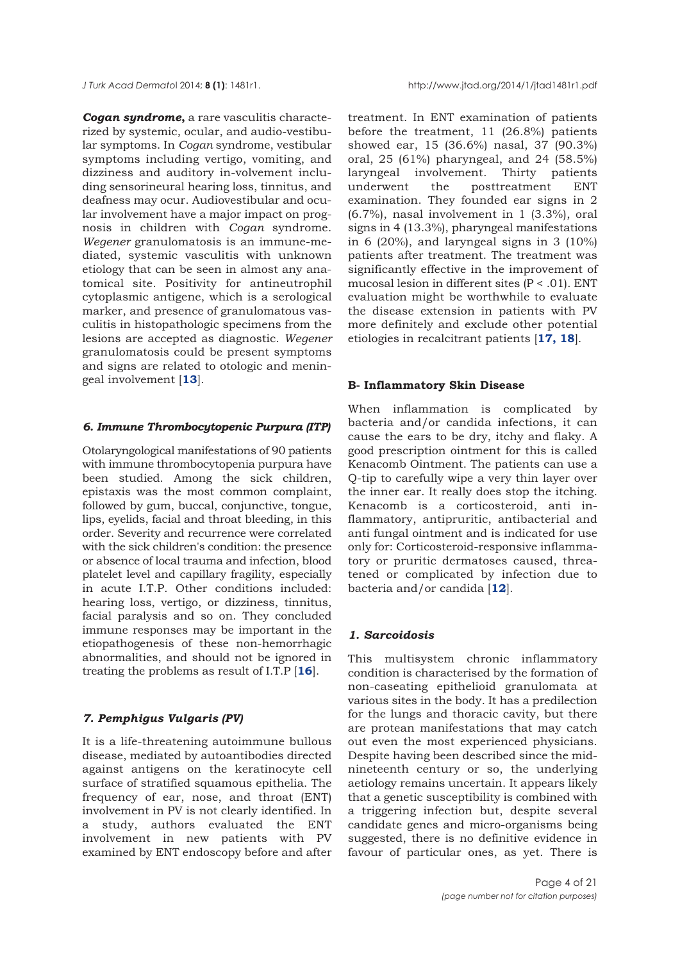*Cogan syndrome***,** a rare vasculitis characterized by systemic, ocular, and audio-vestibular symptoms. In *Cogan* syndrome, vestibular symptoms including vertigo, vomiting, and dizziness and auditory in-volvement including sensorineural hearing loss, tinnitus, and deafness may ocur. Audiovestibular and ocular involvement have a major impact on prognosis in children with *Cogan* syndrome. *Wegener* granulomatosis is an immune-mediated, systemic vasculitis with unknown etiology that can be seen in almost any anatomical site. Positivity for antineutrophil cytoplasmic antigene, which is a serological marker, and presence of granulomatous vasculitis in histopathologic specimens from the lesions are accepted as diagnostic. *Wegener* granulomatosis could be present symptoms and signs are related to otologic and meningeal involvement [**13**].

#### *6. Immune Thrombocytopenic Purpura (ITP)*

Otolaryngological manifestations of 90 patients with immune thrombocytopenia purpura have been studied. Among the sick children, epistaxis was the most common complaint, followed by gum, buccal, conjunctive, tongue, lips, eyelids, facial and throat bleeding, in this order. Severity and recurrence were correlated with the sick children's condition: the presence or absence of local trauma and infection, blood platelet level and capillary fragility, especially in acute I.T.P. Other conditions included: hearing loss, vertigo, or dizziness, tinnitus, facial paralysis and so on. They concluded immune responses may be important in the etiopathogenesis of these non-hemorrhagic abnormalities, and should not be ignored in treating the problems as result of I.T.P [**16**].

## *7. Pemphigus Vulgaris (PV)*

It is a life-threatening autoimmune bullous disease, mediated by autoantibodies directed against antigens on the keratinocyte cell surface of stratified squamous epithelia. The frequency of ear, nose, and throat (ENT) involvement in PV is not clearly identified. In a study, authors evaluated the ENT involvement in new patients with PV examined by ENT endoscopy before and after

treatment. In ENT examination of patients before the treatment, 11 (26.8%) patients showed ear, 15 (36.6%) nasal, 37 (90.3%) oral, 25 (61%) pharyngeal, and 24 (58.5%) laryngeal involvement. Thirty patients underwent the posttreatment ENT examination. They founded ear signs in 2  $(6.7\%)$ , nasal involvement in 1 $(3.3\%)$ , oral signs in 4 (13.3%), pharyngeal manifestations in 6 (20%), and laryngeal signs in  $3$  (10%) patients after treatment. The treatment was significantly effective in the improvement of mucosal lesion in different sites (P < .01). ENT evaluation might be worthwhile to evaluate the disease extension in patients with PV more definitely and exclude other potential etiologies in recalcitrant patients [**17, 18**].

#### **B- Inflammatory Skin Disease**

When inflammation is complicated by bacteria and/or candida infections, it can cause the ears to be dry, itchy and flaky. A good prescription ointment for this is called Kenacomb Ointment. The patients can use a Q-tip to carefully wipe a very thin layer over the inner ear. It really does stop the itching. Kenacomb is a corticosteroid, anti inflammatory, antipruritic, antibacterial and anti fungal ointment and is indicated for use only for: Corticosteroid-responsive inflammatory or pruritic dermatoses caused, threatened or complicated by infection due to bacteria and/or candida [**12**].

## *1. Sarcoidosis*

This multisystem chronic inflammatory condition is characterised by the formation of non-caseating epithelioid granulomata at various sites in the body. It has a predilection for the lungs and thoracic cavity, but there are protean manifestations that may catch out even the most experienced physicians. Despite having been described since the midnineteenth century or so, the underlying aetiology remains uncertain. It appears likely that a genetic susceptibility is combined with a triggering infection but, despite several candidate genes and micro-organisms being suggested, there is no definitive evidence in favour of particular ones, as yet. There is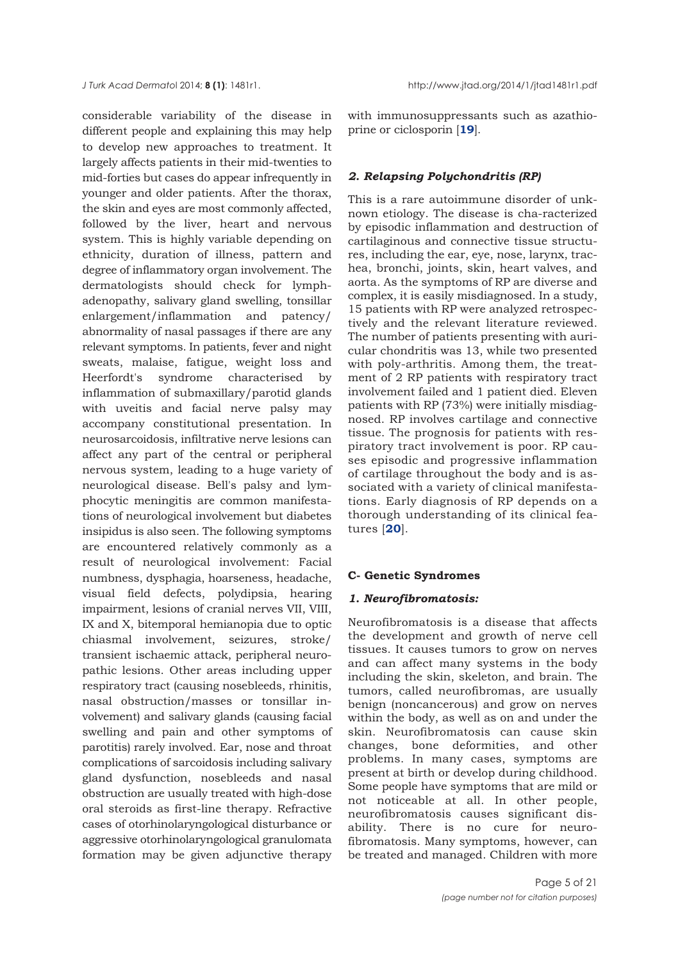considerable variability of the disease in different people and explaining this may help to develop new approaches to treatment. It largely affects patients in their mid-twenties to mid-forties but cases do appear infrequently in younger and older patients. After the thorax, the skin and eyes are most commonly affected, followed by the liver, heart and nervous system. This is highly variable depending on ethnicity, duration of illness, pattern and degree of inflammatory organ involvement. The dermatologists should check for lymphadenopathy, salivary gland swelling, tonsillar enlargement/inflammation and patency/ abnormality of nasal passages if there are any relevant symptoms. In patients, fever and night sweats, malaise, fatigue, weight loss and Heerfordt's syndrome characterised by inflammation of submaxillary/parotid glands with uveitis and facial nerve palsy may accompany constitutional presentation. In neurosarcoidosis, infiltrative nerve lesions can affect any part of the central or peripheral nervous system, leading to a huge variety of neurological disease. Bell's palsy and lymphocytic meningitis are common manifestations of neurological involvement but diabetes insipidus is also seen. The following symptoms are encountered relatively commonly as a result of neurological involvement: Facial numbness, dysphagia, hoarseness, headache, visual field defects, polydipsia, hearing impairment, lesions of cranial nerves VII, VIII, IX and X, bitemporal hemianopia due to optic chiasmal involvement, seizures, stroke/ transient ischaemic attack, peripheral neuropathic lesions. Other areas including upper respiratory tract (causing nosebleeds, rhinitis, nasal obstruction/masses or tonsillar involvement) and salivary glands (causing facial swelling and pain and other symptoms of parotitis) rarely involved. Ear, nose and throat complications of sarcoidosis including salivary gland dysfunction, nosebleeds and nasal obstruction are usually treated with high-dose oral steroids as first-line therapy. Refractive cases of otorhinolaryngological disturbance or aggressive otorhinolaryngological granulomata formation may be given adjunctive therapy

with immunosuppressants such as azathioprine or ciclosporin [**19**].

## *2. Relapsing Polychondritis (RP)*

This is a rare autoimmune disorder of unknown etiology. The disease is cha-racterized by episodic inflammation and destruction of cartilaginous and connective tissue structures, including the ear, eye, nose, larynx, trachea, bronchi, joints, skin, heart valves, and aorta. As the symptoms of RP are diverse and complex, it is easily misdiagnosed. In a study, 15 patients with RP were analyzed retrospectively and the relevant literature reviewed. The number of patients presenting with auricular chondritis was 13, while two presented with poly-arthritis. Among them, the treatment of 2 RP patients with respiratory tract involvement failed and 1 patient died. Eleven patients with RP (73%) were initially misdiagnosed. RP involves cartilage and connective tissue. The prognosis for patients with respiratory tract involvement is poor. RP causes episodic and progressive inflammation of cartilage throughout the body and is associated with a variety of clinical manifestations. Early diagnosis of RP depends on a thorough understanding of its clinical features [**20**].

#### **C- Genetic Syndromes**

#### *1. Neurofibromatosis:*

Neurofibromatosis is a disease that affects the development and growth of nerve cell tissues. It causes tumors to grow on nerves and can affect many systems in the body including the skin, skeleton, and brain. The tumors, called neurofibromas, are usually benign (noncancerous) and grow on nerves within the body, as well as on and under the skin. Neurofibromatosis can cause skin changes, bone deformities, and other problems. In many cases, symptoms are present at birth or develop during childhood. Some people have symptoms that are mild or not noticeable at all. In other people, neurofibromatosis causes significant disability. There is no cure for neurofibromatosis. Many symptoms, however, can be treated and managed. Children with more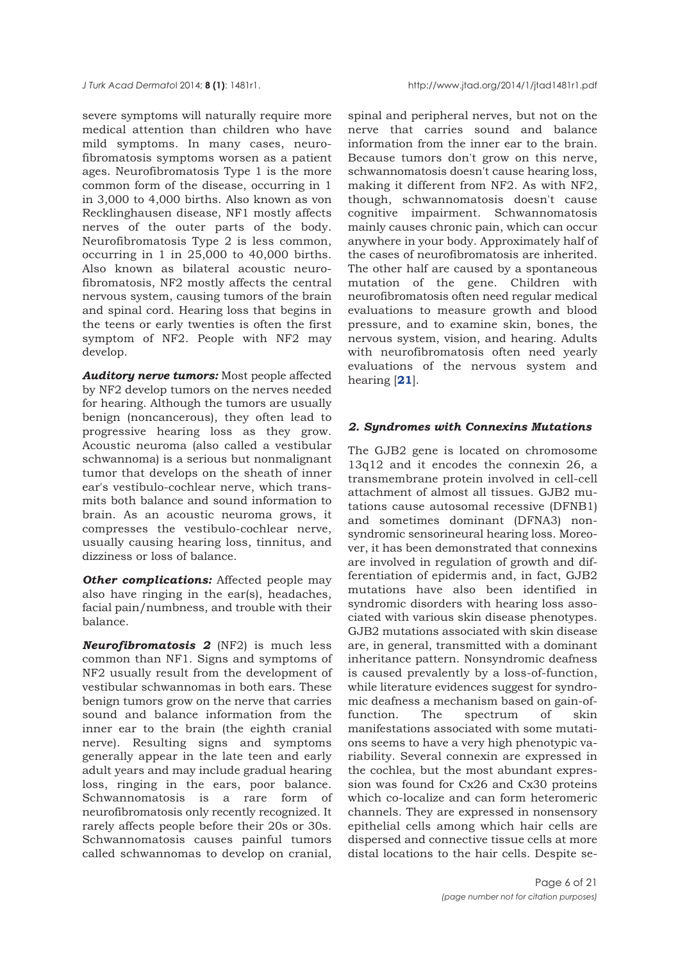severe symptoms will naturally require more medical attention than children who have mild symptoms. In many cases, neurofibromatosis symptoms worsen as a patient ages. Neurofibromatosis Type 1 is the more common form of the disease, occurring in 1 in 3,000 to 4,000 births. Also known as von Recklinghausen disease, NF1 mostly affects nerves of the outer parts of the body. Neurofibromatosis Type 2 is less common, occurring in 1 in 25,000 to 40,000 births. Also known as bilateral acoustic neurofibromatosis, NF2 mostly affects the central nervous system, causing tumors of the brain and spinal cord. Hearing loss that begins in the teens or early twenties is often the first symptom of NF2. People with NF2 may develop.

*Auditory nerve tumors:* Most people affected by NF2 develop tumors on the nerves needed for hearing. Although the tumors are usually benign (noncancerous), they often lead to progressive hearing loss as they grow. Acoustic neuroma (also called a vestibular schwannoma) is a serious but nonmalignant tumor that develops on the sheath of inner ear's vestibulo-cochlear nerve, which transmits both balance and sound information to brain. As an acoustic neuroma grows, it compresses the vestibulo-cochlear nerve, usually causing hearing loss, tinnitus, and dizziness or loss of balance.

**Other complications:** Affected people may also have ringing in the ear(s), headaches, facial pain/numbness, and trouble with their balance.

*Neurofibromatosis 2* (NF2) is much less common than NF1. Signs and symptoms of NF2 usually result from the development of vestibular schwannomas in both ears. These benign tumors grow on the nerve that carries sound and balance information from the inner ear to the brain (the eighth cranial nerve). Resulting signs and symptoms generally appear in the late teen and early adult years and may include gradual hearing loss, ringing in the ears, poor balance. Schwannomatosis is a rare form of neurofibromatosis only recently recognized. It rarely affects people before their 20s or 30s. Schwannomatosis causes painful tumors called schwannomas to develop on cranial,

spinal and peripheral nerves, but not on the nerve that carries sound and balance information from the inner ear to the brain. Because tumors don't grow on this nerve, schwannomatosis doesn't cause hearing loss, making it different from NF2. As with NF2, though, schwannomatosis doesn't cause cognitive impairment. Schwannomatosis mainly causes chronic pain, which can occur anywhere in your body. Approximately half of the cases of neurofibromatosis are inherited. The other half are caused by a spontaneous mutation of the gene. Children with neurofibromatosis often need regular medical evaluations to measure growth and blood pressure, and to examine skin, bones, the nervous system, vision, and hearing. Adults with neurofibromatosis often need yearly evaluations of the nervous system and hearing [**21**].

## *2. Syndromes with Connexins Mutations*

The GJB2 gene is located on chromosome 13q12 and it encodes the connexin 26, a transmembrane protein involved in cell-cell attachment of almost all tissues. GJB2 mutations cause autosomal recessive (DFNB1) and sometimes dominant (DFNA3) nonsyndromic sensorineural hearing loss. Moreover, it has been demonstrated that connexins are involved in regulation of growth and differentiation of epidermis and, in fact, GJB2 mutations have also been identified in syndromic disorders with hearing loss associated with various skin disease phenotypes. GJB2 mutations associated with skin disease are, in general, transmitted with a dominant inheritance pattern. Nonsyndromic deafness is caused prevalently by a loss-of-function, while literature evidences suggest for syndromic deafness a mechanism based on gain-offunction. The spectrum of skin manifestations associated with some mutations seems to have a very high phenotypic variability. Several connexin are expressed in the cochlea, but the most abundant expression was found for Cx26 and Cx30 proteins which co-localize and can form heteromeric channels. They are expressed in nonsensory epithelial cells among which hair cells are dispersed and connective tissue cells at more distal locations to the hair cells. Despite se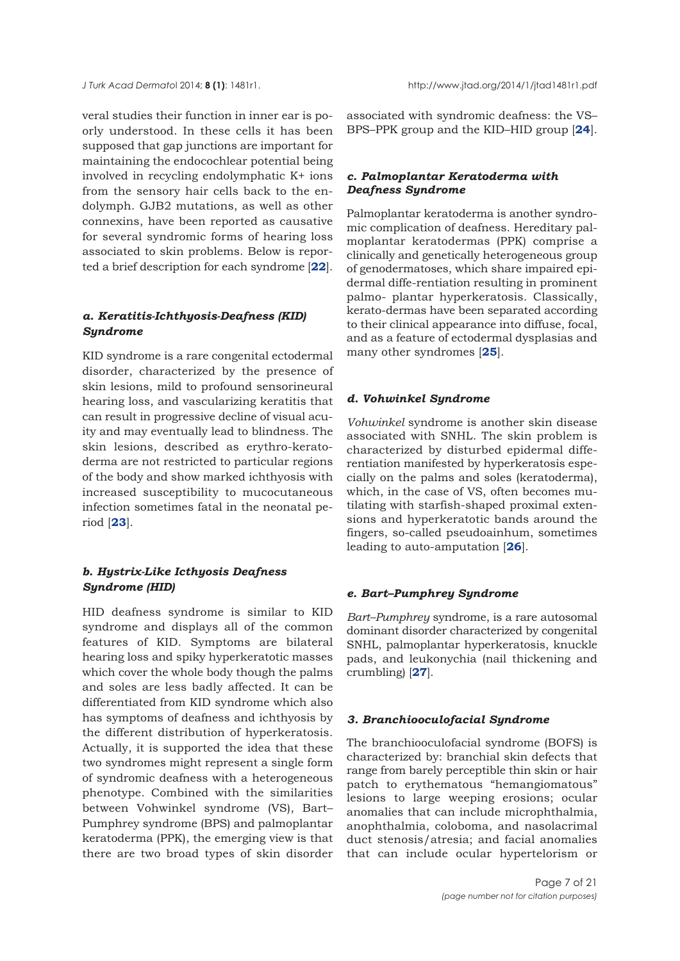veral studies their function in inner ear is poorly understood. In these cells it has been supposed that gap junctions are important for maintaining the endocochlear potential being involved in recycling endolymphatic K+ ions from the sensory hair cells back to the endolymph. GJB2 mutations, as well as other connexins, have been reported as causative for several syndromic forms of hearing loss associated to skin problems. Below is reported a brief description for each syndrome [**22**].

# *a. Keratitis-Ichthyosis-Deafness (KID) Syndrome*

KID syndrome is a rare congenital ectodermal disorder, characterized by the presence of skin lesions, mild to profound sensorineural hearing loss, and vascularizing keratitis that can result in progressive decline of visual acuity and may eventually lead to blindness. The skin lesions, described as erythro-keratoderma are not restricted to particular regions of the body and show marked ichthyosis with increased susceptibility to mucocutaneous infection sometimes fatal in the neonatal period [**23**].

# *b. Hystrix-Like Icthyosis Deafness Syndrome (HID)*

HID deafness syndrome is similar to KID syndrome and displays all of the common features of KID. Symptoms are bilateral hearing loss and spiky hyperkeratotic masses which cover the whole body though the palms and soles are less badly affected. It can be differentiated from KID syndrome which also has symptoms of deafness and ichthyosis by the different distribution of hyperkeratosis. Actually, it is supported the idea that these two syndromes might represent a single form of syndromic deafness with a heterogeneous phenotype. Combined with the similarities between Vohwinkel syndrome (VS), Bart– Pumphrey syndrome (BPS) and palmoplantar keratoderma (PPK), the emerging view is that there are two broad types of skin disorder

associated with syndromic deafness: the VS– BPS–PPK group and the KID–HID group [**24**].

## *c. Palmoplantar Keratoderma with Deafness Syndrome*

Palmoplantar keratoderma is another syndromic complication of deafness. Hereditary palmoplantar keratodermas (PPK) comprise a clinically and genetically heterogeneous group of genodermatoses, which share impaired epidermal diffe-rentiation resulting in prominent palmo- plantar hyperkeratosis. Classically, kerato-dermas have been separated according to their clinical appearance into diffuse, focal, and as a feature of ectodermal dysplasias and many other syndromes [**25**].

#### *d. Vohwinkel Syndrome*

*Vohwinkel* syndrome is another skin disease associated with SNHL. The skin problem is characterized by disturbed epidermal differentiation manifested by hyperkeratosis especially on the palms and soles (keratoderma), which, in the case of VS, often becomes mutilating with starfish-shaped proximal extensions and hyperkeratotic bands around the fingers, so-called pseudoainhum, sometimes leading to auto-amputation [**26**].

## *e. Bart–Pumphrey Syndrome*

*Bart–Pumphrey* syndrome, is a rare autosomal dominant disorder characterized by congenital SNHL, palmoplantar hyperkeratosis, knuckle pads, and leukonychia (nail thickening and crumbling) [**27**].

#### *3. Branchiooculofacial Syndrome*

The branchiooculofacial syndrome (BOFS) is characterized by: branchial skin defects that range from barely perceptible thin skin or hair patch to erythematous "hemangiomatous" lesions to large weeping erosions; ocular anomalies that can include microphthalmia, anophthalmia, coloboma, and nasolacrimal duct stenosis/atresia; and facial anomalies that can include ocular hypertelorism or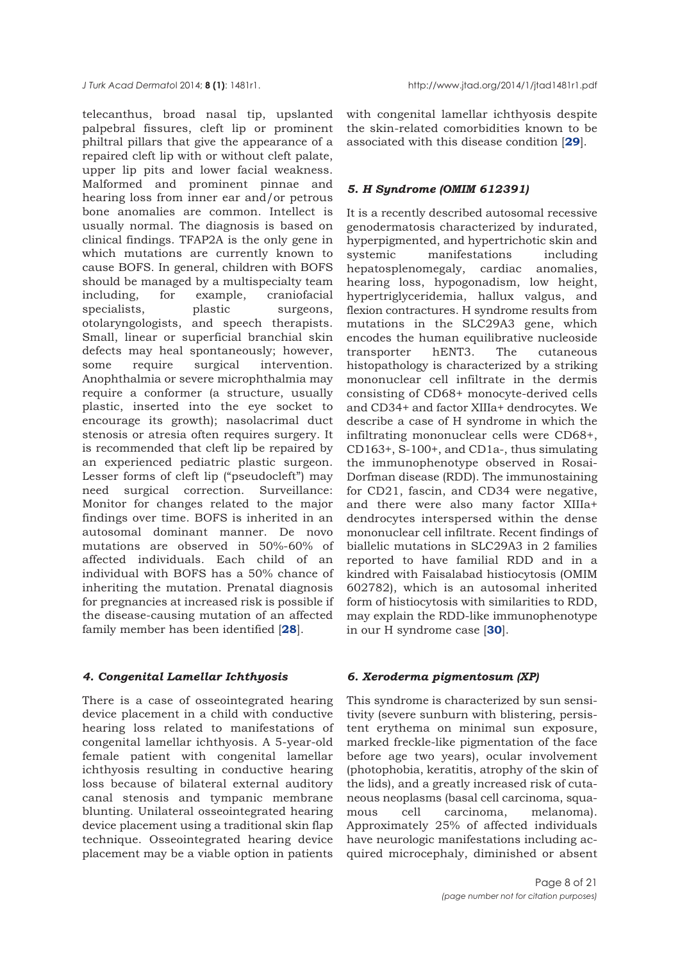telecanthus, broad nasal tip, upslanted palpebral fissures, cleft lip or prominent philtral pillars that give the appearance of a repaired cleft lip with or without cleft palate, upper lip pits and lower facial weakness. Malformed and prominent pinnae and hearing loss from inner ear and/or petrous bone anomalies are common. Intellect is usually normal. The diagnosis is based on clinical findings. TFAP2A is the only gene in which mutations are currently known to cause BOFS. In general, children with BOFS should be managed by a multispecialty team including, for example, craniofacial specialists, plastic surgeons, otolaryngologists, and speech therapists. Small, linear or superficial branchial skin defects may heal spontaneously; however, some require surgical intervention. Anophthalmia or severe microphthalmia may require a conformer (a structure, usually plastic, inserted into the eye socket to encourage its growth); nasolacrimal duct stenosis or atresia often requires surgery. It is recommended that cleft lip be repaired by an experienced pediatric plastic surgeon. Lesser forms of cleft lip ("pseudocleft") may need surgical correction. Surveillance: Monitor for changes related to the major findings over time. BOFS is inherited in an autosomal dominant manner. De novo mutations are observed in 50%-60% of affected individuals. Each child of an individual with BOFS has a 50% chance of inheriting the mutation. Prenatal diagnosis for pregnancies at increased risk is possible if the disease-causing mutation of an affected family member has been identified [**28**].

## *4. Congenital Lamellar Ichthyosis*

There is a case of osseointegrated hearing device placement in a child with conductive hearing loss related to manifestations of congenital lamellar ichthyosis. A 5-year-old female patient with congenital lamellar ichthyosis resulting in conductive hearing loss because of bilateral external auditory canal stenosis and tympanic membrane blunting. Unilateral osseointegrated hearing device placement using a traditional skin flap technique. Osseointegrated hearing device placement may be a viable option in patients

with congenital lamellar ichthyosis despite the skin-related comorbidities known to be associated with this disease condition [**29**].

# *5. H Syndrome (OMIM 612391)*

It is a recently described autosomal recessive genodermatosis characterized by indurated, hyperpigmented, and hypertrichotic skin and systemic manifestations including hepatosplenomegaly, cardiac anomalies, hearing loss, hypogonadism, low height, hypertriglyceridemia, hallux valgus, and flexion contractures. H syndrome results from mutations in the SLC29A3 gene, which encodes the human equilibrative nucleoside transporter hENT3. The cutaneous histopathology is characterized by a striking mononuclear cell infiltrate in the dermis consisting of CD68+ monocyte-derived cells and CD34+ and factor XIIIa+ dendrocytes. We describe a case of H syndrome in which the infiltrating mononuclear cells were CD68+, CD163+, S-100+, and CD1a-, thus simulating the immunophenotype observed in Rosai-Dorfman disease (RDD). The immunostaining for CD21, fascin, and CD34 were negative, and there were also many factor XIIIa+ dendrocytes interspersed within the dense mononuclear cell infiltrate. Recent findings of biallelic mutations in SLC29A3 in 2 families reported to have familial RDD and in a kindred with Faisalabad histiocytosis (OMIM 602782), which is an autosomal inherited form of histiocytosis with similarities to RDD, may explain the RDD-like immunophenotype in our H syndrome case [**30**].

## *6. Xeroderma pigmentosum (XP)*

This syndrome is characterized by sun sensitivity (severe sunburn with blistering, persistent erythema on minimal sun exposure, marked freckle-like pigmentation of the face before age two years), ocular involvement (photophobia, keratitis, atrophy of the skin of the lids), and a greatly increased risk of cutaneous neoplasms (basal cell carcinoma, squamous cell carcinoma, melanoma). Approximately 25% of affected individuals have neurologic manifestations including acquired microcephaly, diminished or absent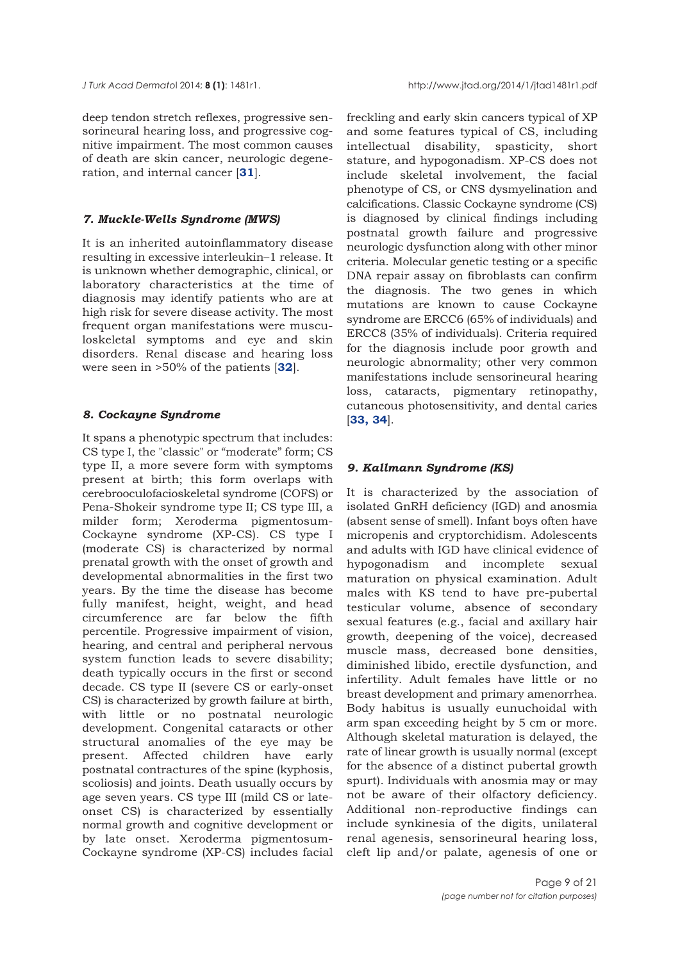deep tendon stretch reflexes, progressive sensorineural hearing loss, and progressive cognitive impairment. The most common causes of death are skin cancer, neurologic degeneration, and internal cancer [**31**].

#### *7. Muckle-Wells Syndrome (MWS)*

It is an inherited autoinflammatory disease resulting in excessive interleukin–1 release. It is unknown whether demographic, clinical, or laboratory characteristics at the time of diagnosis may identify patients who are at high risk for severe disease activity. The most frequent organ manifestations were musculoskeletal symptoms and eye and skin disorders. Renal disease and hearing loss were seen in >50% of the patients [**32**].

#### *8. Cockayne Syndrome*

It spans a phenotypic spectrum that includes: CS type I, the "classic" or "moderate" form; CS type II, a more severe form with symptoms present at birth; this form overlaps with cerebrooculofacioskeletal syndrome (COFS) or Pena-Shokeir syndrome type II; CS type III, a milder form; Xeroderma pigmentosum-Cockayne syndrome (XP-CS). CS type I (moderate CS) is characterized by normal prenatal growth with the onset of growth and developmental abnormalities in the first two years. By the time the disease has become fully manifest, height, weight, and head circumference are far below the fifth percentile. Progressive impairment of vision, hearing, and central and peripheral nervous system function leads to severe disability; death typically occurs in the first or second decade. CS type II (severe CS or early-onset CS) is characterized by growth failure at birth, with little or no postnatal neurologic development. Congenital cataracts or other structural anomalies of the eye may be present. Affected children have early postnatal contractures of the spine (kyphosis, scoliosis) and joints. Death usually occurs by age seven years. CS type III (mild CS or lateonset CS) is characterized by essentially normal growth and cognitive development or by late onset. Xeroderma pigmentosum-Cockayne syndrome (XP-CS) includes facial

freckling and early skin cancers typical of XP and some features typical of CS, including intellectual disability, spasticity, short stature, and hypogonadism. XP-CS does not include skeletal involvement, the facial phenotype of CS, or CNS dysmyelination and calcifications. Classic Cockayne syndrome (CS) is diagnosed by clinical findings including postnatal growth failure and progressive neurologic dysfunction along with other minor criteria. Molecular genetic testing or a specific DNA repair assay on fibroblasts can confirm the diagnosis. The two genes in which mutations are known to cause Cockayne syndrome are ERCC6 (65% of individuals) and ERCC8 (35% of individuals). Criteria required for the diagnosis include poor growth and neurologic abnormality; other very common manifestations include sensorineural hearing loss, cataracts, pigmentary retinopathy, cutaneous photosensitivity, and dental caries [**33, 34**].

## *9. Kallmann Syndrome (KS)*

It is characterized by the association of isolated GnRH deficiency (IGD) and anosmia (absent sense of smell). Infant boys often have micropenis and cryptorchidism. Adolescents and adults with IGD have clinical evidence of hypogonadism and incomplete sexual maturation on physical examination. Adult males with KS tend to have pre-pubertal testicular volume, absence of secondary sexual features (e.g., facial and axillary hair growth, deepening of the voice), decreased muscle mass, decreased bone densities, diminished libido, erectile dysfunction, and infertility. Adult females have little or no breast development and primary amenorrhea. Body habitus is usually eunuchoidal with arm span exceeding height by 5 cm or more. Although skeletal maturation is delayed, the rate of linear growth is usually normal (except for the absence of a distinct pubertal growth spurt). Individuals with anosmia may or may not be aware of their olfactory deficiency. Additional non-reproductive findings can include synkinesia of the digits, unilateral renal agenesis, sensorineural hearing loss, cleft lip and/or palate, agenesis of one or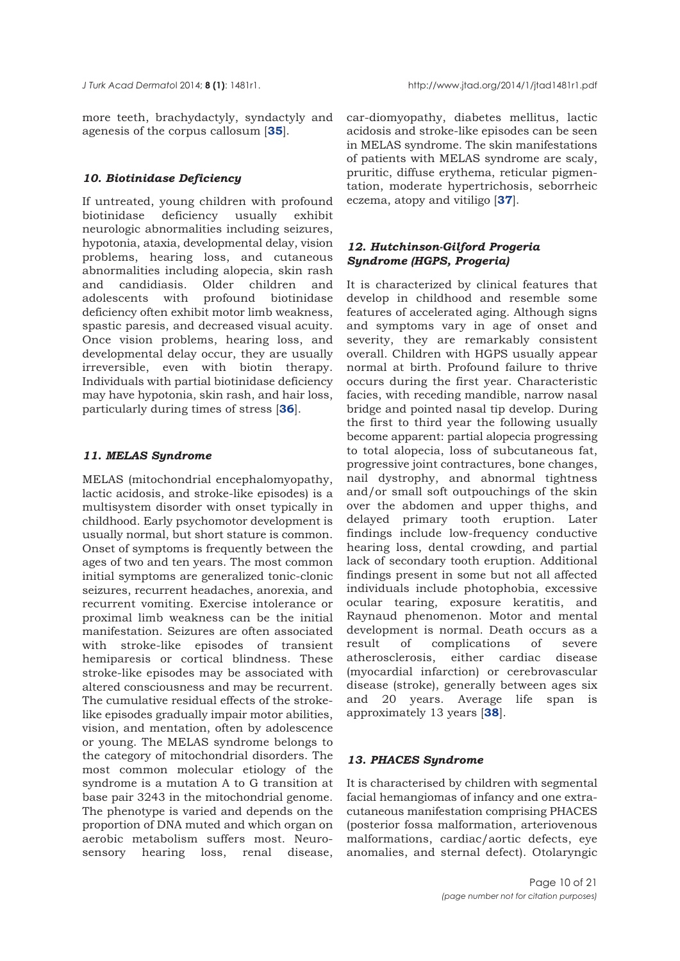more teeth, brachydactyly, syndactyly and agenesis of the corpus callosum [**35**].

## *10. Biotinidase Deficiency*

If untreated, young children with profound biotinidase deficiency usually exhibit neurologic abnormalities including seizures, hypotonia, ataxia, developmental delay, vision problems, hearing loss, and cutaneous abnormalities including alopecia, skin rash and candidiasis. Older children and adolescents with profound biotinidase deficiency often exhibit motor limb weakness, spastic paresis, and decreased visual acuity. Once vision problems, hearing loss, and developmental delay occur, they are usually irreversible, even with biotin therapy. Individuals with partial biotinidase deficiency may have hypotonia, skin rash, and hair loss, particularly during times of stress [**36**].

## *11. MELAS Syndrome*

MELAS (mitochondrial encephalomyopathy, lactic acidosis, and stroke-like episodes) is a multisystem disorder with onset typically in childhood. Early psychomotor development is usually normal, but short stature is common. Onset of symptoms is frequently between the ages of two and ten years. The most common initial symptoms are generalized tonic-clonic seizures, recurrent headaches, anorexia, and recurrent vomiting. Exercise intolerance or proximal limb weakness can be the initial manifestation. Seizures are often associated with stroke-like episodes of transient hemiparesis or cortical blindness. These stroke-like episodes may be associated with altered consciousness and may be recurrent. The cumulative residual effects of the strokelike episodes gradually impair motor abilities, vision, and mentation, often by adolescence or young. The MELAS syndrome belongs to the category of mitochondrial disorders. The most common molecular etiology of the syndrome is a mutation A to G transition at base pair 3243 in the mitochondrial genome. The phenotype is varied and depends on the proportion of DNA muted and which organ on aerobic metabolism suffers most. Neurosensory hearing loss, renal disease,

car-diomyopathy, diabetes mellitus, lactic acidosis and stroke-like episodes can be seen in MELAS syndrome. The skin manifestations of patients with MELAS syndrome are scaly, pruritic, diffuse erythema, reticular pigmentation, moderate hypertrichosis, seborrheic eczema, atopy and vitiligo [**37**].

# *12. Hutchinson-Gilford Progeria Syndrome (HGPS, Progeria)*

It is characterized by clinical features that develop in childhood and resemble some features of accelerated aging. Although signs and symptoms vary in age of onset and severity, they are remarkably consistent overall. Children with HGPS usually appear normal at birth. Profound failure to thrive occurs during the first year. Characteristic facies, with receding mandible, narrow nasal bridge and pointed nasal tip develop. During the first to third year the following usually become apparent: partial alopecia progressing to total alopecia, loss of subcutaneous fat, progressive joint contractures, bone changes, nail dystrophy, and abnormal tightness and/or small soft outpouchings of the skin over the abdomen and upper thighs, and delayed primary tooth eruption. Later findings include low-frequency conductive hearing loss, dental crowding, and partial lack of secondary tooth eruption. Additional findings present in some but not all affected individuals include photophobia, excessive ocular tearing, exposure keratitis, and Raynaud phenomenon. Motor and mental development is normal. Death occurs as a result of complications of severe atherosclerosis, either cardiac disease (myocardial infarction) or cerebrovascular disease (stroke), generally between ages six and 20 years. Average life span is approximately 13 years [**38**].

## *13. PHACES Syndrome*

It is characterised by children with segmental facial hemangiomas of infancy and one extracutaneous manifestation comprising PHACES (posterior fossa malformation, arteriovenous malformations, cardiac/aortic defects, eye anomalies, and sternal defect). Otolaryngic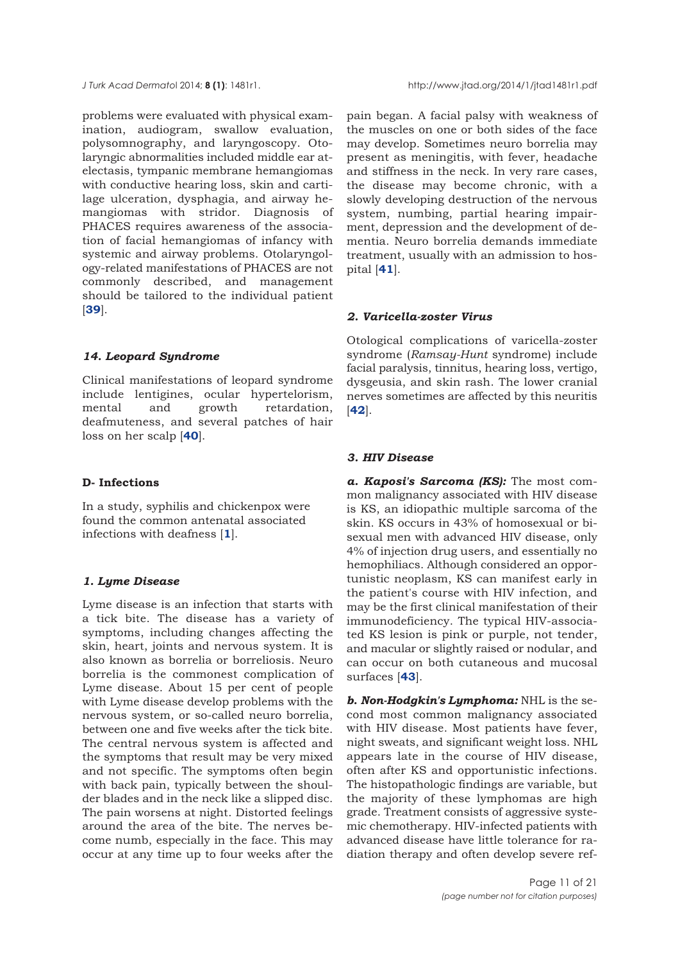problems were evaluated with physical examination, audiogram, swallow evaluation, polysomnography, and laryngoscopy. Otolaryngic abnormalities included middle ear atelectasis, tympanic membrane hemangiomas with conductive hearing loss, skin and cartilage ulceration, dysphagia, and airway hemangiomas with stridor. Diagnosis of PHACES requires awareness of the association of facial hemangiomas of infancy with systemic and airway problems. Otolaryngology-related manifestations of PHACES are not commonly described, and management should be tailored to the individual patient [**39**].

# *14. Leopard Syndrome*

Clinical manifestations of leopard syndrome include lentigines, ocular hypertelorism, mental and growth retardation, deafmuteness, and several patches of hair loss on her scalp [**40**].

## **D- Infections**

In a study, syphilis and chickenpox were found the common antenatal associated infections with deafness [**1**].

## *1. Lyme Disease*

Lyme disease is an infection that starts with a tick bite. The disease has a variety of symptoms, including changes affecting the skin, heart, joints and nervous system. It is also known as borrelia or borreliosis. Neuro borrelia is the commonest complication of Lyme disease. About 15 per cent of people with Lyme disease develop problems with the nervous system, or so-called neuro borrelia, between one and five weeks after the tick bite. The central nervous system is affected and the symptoms that result may be very mixed and not specific. The symptoms often begin with back pain, typically between the shoulder blades and in the neck like a slipped disc. The pain worsens at night. Distorted feelings around the area of the bite. The nerves become numb, especially in the face. This may occur at any time up to four weeks after the

pain began. A facial palsy with weakness of the muscles on one or both sides of the face may develop. Sometimes neuro borrelia may present as meningitis, with fever, headache and stiffness in the neck. In very rare cases, the disease may become chronic, with a slowly developing destruction of the nervous system, numbing, partial hearing impairment, depression and the development of dementia. Neuro borrelia demands immediate treatment, usually with an admission to hospital [**41**].

# *2. Varicella-zoster Virus*

Otological complications of varicella-zoster syndrome (*Ramsay-Hunt* syndrome) include facial paralysis, tinnitus, hearing loss, vertigo, dysgeusia, and skin rash. The lower cranial nerves sometimes are affected by this neuritis [**42**].

# *3. HIV Disease*

*a. Kaposi's Sarcoma (KS):* The most common malignancy associated with HIV disease is KS, an idiopathic multiple sarcoma of the skin. KS occurs in 43% of homosexual or bisexual men with advanced HIV disease, only 4% of injection drug users, and essentially no hemophiliacs. Although considered an opportunistic neoplasm, KS can manifest early in the patient's course with HIV infection, and may be the first clinical manifestation of their immunodeficiency. The typical HIV-associated KS lesion is pink or purple, not tender, and macular or slightly raised or nodular, and can occur on both cutaneous and mucosal surfaces [**43**].

*b. Non-Hodgkin's Lymphoma:* NHL is the second most common malignancy associated with HIV disease. Most patients have fever, night sweats, and significant weight loss. NHL appears late in the course of HIV disease, often after KS and opportunistic infections. The histopathologic findings are variable, but the majority of these lymphomas are high grade. Treatment consists of aggressive systemic chemotherapy. HIV-infected patients with advanced disease have little tolerance for radiation therapy and often develop severe ref-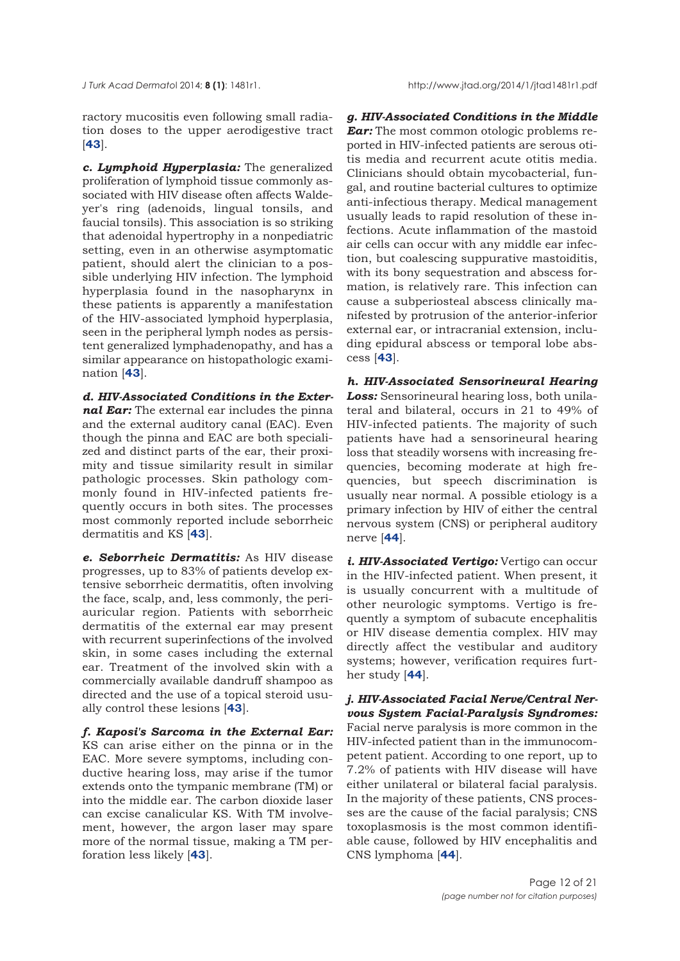*J Turk Acad Dermato*l 2014; **8 (1)**: 1481r1. http://www.jtad.org/2014/1/jtad1481r1.pdf

ractory mucositis even following small radiation doses to the upper aerodigestive tract [**43**].

*c. Lymphoid Hyperplasia:* The generalized proliferation of lymphoid tissue commonly associated with HIV disease often affects Waldeyer's ring (adenoids, lingual tonsils, and faucial tonsils). This association is so striking that adenoidal hypertrophy in a nonpediatric setting, even in an otherwise asymptomatic patient, should alert the clinician to a possible underlying HIV infection. The lymphoid hyperplasia found in the nasopharynx in these patients is apparently a manifestation of the HIV-associated lymphoid hyperplasia, seen in the peripheral lymph nodes as persistent generalized lymphadenopathy, and has a similar appearance on histopathologic examination [**43**].

*d. HIV-Associated Conditions in the External Ear:* The external ear includes the pinna and the external auditory canal (EAC). Even though the pinna and EAC are both specialized and distinct parts of the ear, their proximity and tissue similarity result in similar pathologic processes. Skin pathology commonly found in HIV-infected patients frequently occurs in both sites. The processes most commonly reported include seborrheic dermatitis and KS [**43**].

*e. Seborrheic Dermatitis:* As HIV disease progresses, up to 83% of patients develop extensive seborrheic dermatitis, often involving the face, scalp, and, less commonly, the periauricular region. Patients with seborrheic dermatitis of the external ear may present with recurrent superinfections of the involved skin, in some cases including the external ear. Treatment of the involved skin with a commercially available dandruff shampoo as directed and the use of a topical steroid usually control these lesions [**43**].

*f. Kaposi's Sarcoma in the External Ear:* KS can arise either on the pinna or in the EAC. More severe symptoms, including conductive hearing loss, may arise if the tumor extends onto the tympanic membrane (TM) or into the middle ear. The carbon dioxide laser can excise canalicular KS. With TM involvement, however, the argon laser may spare more of the normal tissue, making a TM perforation less likely [**43**].

*g. HIV-Associated Conditions in the Middle Ear:* The most common otologic problems reported in HIV-infected patients are serous otitis media and recurrent acute otitis media. Clinicians should obtain mycobacterial, fungal, and routine bacterial cultures to optimize anti-infectious therapy. Medical management usually leads to rapid resolution of these infections. Acute inflammation of the mastoid air cells can occur with any middle ear infection, but coalescing suppurative mastoiditis, with its bony sequestration and abscess formation, is relatively rare. This infection can cause a subperiosteal abscess clinically manifested by protrusion of the anterior-inferior external ear, or intracranial extension, including epidural abscess or temporal lobe abscess [**43**].

*h. HIV-Associated Sensorineural Hearing Loss:* Sensorineural hearing loss, both unilateral and bilateral, occurs in 21 to 49% of HIV-infected patients. The majority of such patients have had a sensorineural hearing loss that steadily worsens with increasing frequencies, becoming moderate at high frequencies, but speech discrimination is usually near normal. A possible etiology is a primary infection by HIV of either the central nervous system (CNS) or peripheral auditory nerve [**44**].

*i. HIV-Associated Vertigo:* Vertigo can occur in the HIV-infected patient. When present, it is usually concurrent with a multitude of other neurologic symptoms. Vertigo is frequently a symptom of subacute encephalitis or HIV disease dementia complex. HIV may directly affect the vestibular and auditory systems; however, verification requires further study [**44**].

*j. HIV-Associated Facial Nerve/Central Nervous System Facial-Paralysis Syndromes:* Facial nerve paralysis is more common in the HIV-infected patient than in the immunocompetent patient. According to one report, up to 7.2% of patients with HIV disease will have either unilateral or bilateral facial paralysis. In the majority of these patients, CNS processes are the cause of the facial paralysis; CNS toxoplasmosis is the most common identifiable cause, followed by HIV encephalitis and CNS lymphoma [**44**].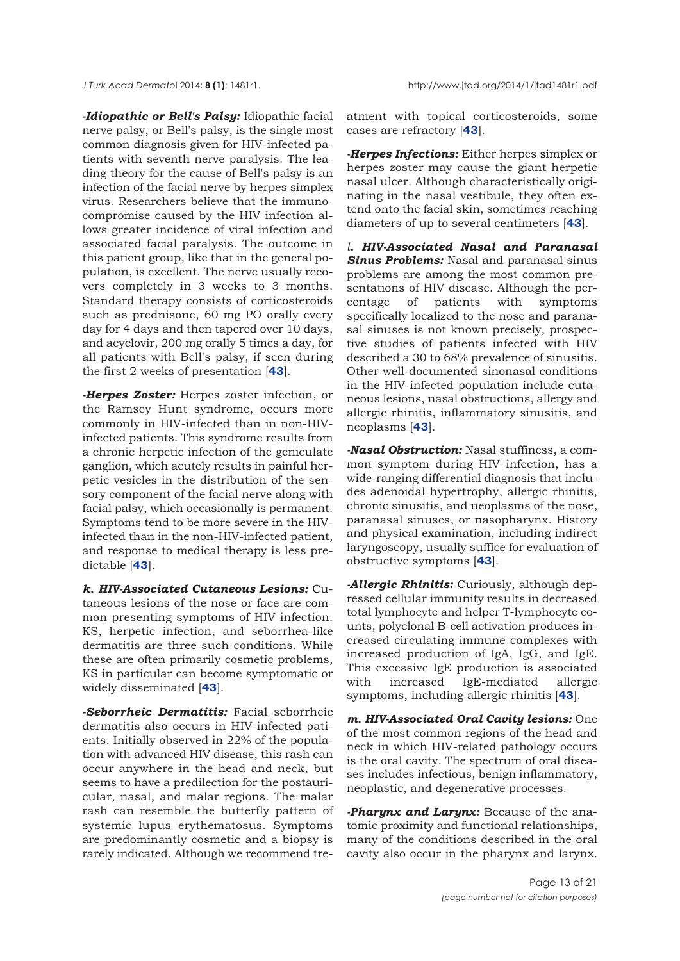*J Turk Acad Dermato*l 2014; **8 (1)**: 1481r1. http://www.jtad.org/2014/1/jtad1481r1.pdf

*-Idiopathic or Bell's Palsy:* Idiopathic facial nerve palsy, or Bell's palsy, is the single most common diagnosis given for HIV-infected patients with seventh nerve paralysis. The leading theory for the cause of Bell's palsy is an infection of the facial nerve by herpes simplex virus. Researchers believe that the immunocompromise caused by the HIV infection allows greater incidence of viral infection and associated facial paralysis. The outcome in this patient group, like that in the general population, is excellent. The nerve usually recovers completely in 3 weeks to 3 months. Standard therapy consists of corticosteroids such as prednisone, 60 mg PO orally every day for 4 days and then tapered over 10 days, and acyclovir, 200 mg orally 5 times a day, for all patients with Bell's palsy, if seen during the first 2 weeks of presentation [**43**].

*-Herpes Zoster:* Herpes zoster infection, or the Ramsey Hunt syndrome, occurs more commonly in HIV-infected than in non-HIVinfected patients. This syndrome results from a chronic herpetic infection of the geniculate ganglion, which acutely results in painful herpetic vesicles in the distribution of the sensory component of the facial nerve along with facial palsy, which occasionally is permanent. Symptoms tend to be more severe in the HIVinfected than in the non-HIV-infected patient, and response to medical therapy is less predictable [**43**].

*k. HIV-Associated Cutaneous Lesions:* Cutaneous lesions of the nose or face are common presenting symptoms of HIV infection. KS, herpetic infection, and seborrhea-like dermatitis are three such conditions. While these are often primarily cosmetic problems, KS in particular can become symptomatic or widely disseminated [**43**].

*-Seborrheic Dermatitis:* Facial seborrheic dermatitis also occurs in HIV-infected patients. Initially observed in 22% of the population with advanced HIV disease, this rash can occur anywhere in the head and neck, but seems to have a predilection for the postauricular, nasal, and malar regions. The malar rash can resemble the butterfly pattern of systemic lupus erythematosus. Symptoms are predominantly cosmetic and a biopsy is rarely indicated. Although we recommend treatment with topical corticosteroids, some cases are refractory [**43**].

*-Herpes Infections:* Either herpes simplex or herpes zoster may cause the giant herpetic nasal ulcer. Although characteristically originating in the nasal vestibule, they often extend onto the facial skin, sometimes reaching diameters of up to several centimeters [**43**].

*l. HIV-Associated Nasal and Paranasal Sinus Problems:* Nasal and paranasal sinus problems are among the most common presentations of HIV disease. Although the percentage of patients with symptoms specifically localized to the nose and paranasal sinuses is not known precisely, prospective studies of patients infected with HIV described a 30 to 68% prevalence of sinusitis. Other well-documented sinonasal conditions in the HIV-infected population include cutaneous lesions, nasal obstructions, allergy and allergic rhinitis, inflammatory sinusitis, and neoplasms [**43**].

*-Nasal Obstruction:* Nasal stuffiness, a common symptom during HIV infection, has a wide-ranging differential diagnosis that includes adenoidal hypertrophy, allergic rhinitis, chronic sinusitis, and neoplasms of the nose, paranasal sinuses, or nasopharynx. History and physical examination, including indirect laryngoscopy, usually suffice for evaluation of obstructive symptoms [**43**].

*-Allergic Rhinitis:* Curiously, although depressed cellular immunity results in decreased total lymphocyte and helper T-lymphocyte counts, polyclonal B-cell activation produces increased circulating immune complexes with increased production of IgA, IgG, and IgE. This excessive IgE production is associated with increased IgE-mediated allergic symptoms, including allergic rhinitis [**43**].

*m. HIV-Associated Oral Cavity lesions:* One of the most common regions of the head and neck in which HIV-related pathology occurs is the oral cavity. The spectrum of oral diseases includes infectious, benign inflammatory, neoplastic, and degenerative processes.

*-Pharynx and Larynx:* Because of the anatomic proximity and functional relationships, many of the conditions described in the oral cavity also occur in the pharynx and larynx.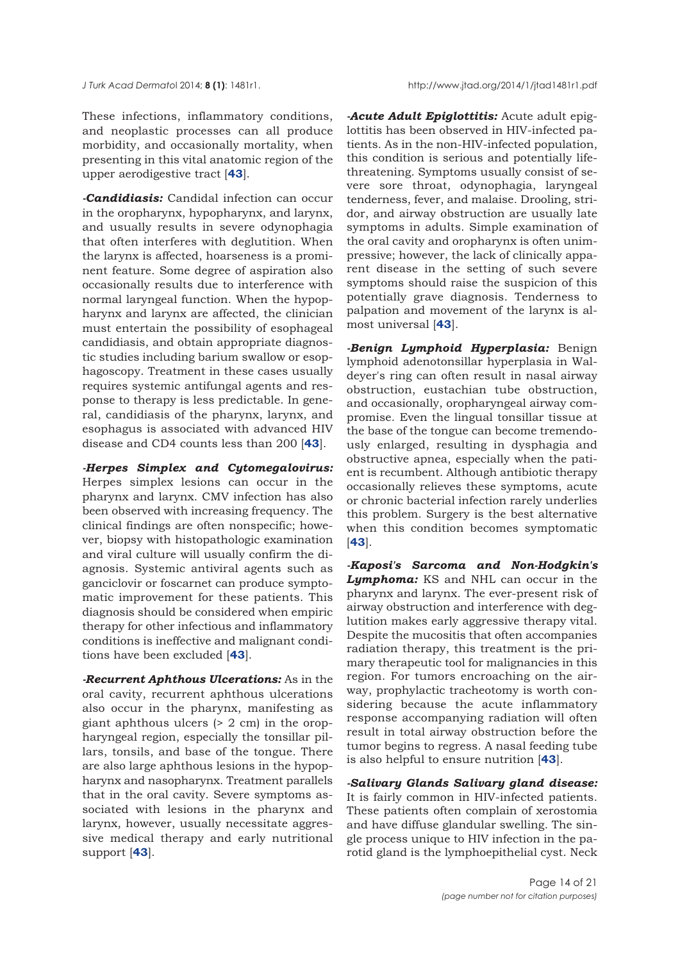These infections, inflammatory conditions, and neoplastic processes can all produce morbidity, and occasionally mortality, when presenting in this vital anatomic region of the upper aerodigestive tract [**43**].

*-Candidiasis:* Candidal infection can occur in the oropharynx, hypopharynx, and larynx, and usually results in severe odynophagia that often interferes with deglutition. When the larynx is affected, hoarseness is a prominent feature. Some degree of aspiration also occasionally results due to interference with normal laryngeal function. When the hypopharynx and larynx are affected, the clinician must entertain the possibility of esophageal candidiasis, and obtain appropriate diagnostic studies including barium swallow or esophagoscopy. Treatment in these cases usually requires systemic antifungal agents and response to therapy is less predictable. In general, candidiasis of the pharynx, larynx, and esophagus is associated with advanced HIV disease and CD4 counts less than 200 [**43**].

*-Herpes Simplex and Cytomegalovirus:* Herpes simplex lesions can occur in the pharynx and larynx. CMV infection has also been observed with increasing frequency. The clinical findings are often nonspecific; however, biopsy with histopathologic examination and viral culture will usually confirm the diagnosis. Systemic antiviral agents such as ganciclovir or foscarnet can produce symptomatic improvement for these patients. This diagnosis should be considered when empiric therapy for other infectious and inflammatory conditions is ineffective and malignant conditions have been excluded [**43**].

*-Recurrent Aphthous Ulcerations:* As in the oral cavity, recurrent aphthous ulcerations also occur in the pharynx, manifesting as giant aphthous ulcers (> 2 cm) in the oropharyngeal region, especially the tonsillar pillars, tonsils, and base of the tongue. There are also large aphthous lesions in the hypopharynx and nasopharynx. Treatment parallels that in the oral cavity. Severe symptoms associated with lesions in the pharynx and larynx, however, usually necessitate aggressive medical therapy and early nutritional support [**43**].

*-Acute Adult Epiglottitis:* Acute adult epiglottitis has been observed in HIV-infected patients. As in the non-HIV-infected population, this condition is serious and potentially lifethreatening. Symptoms usually consist of severe sore throat, odynophagia, laryngeal tenderness, fever, and malaise. Drooling, stridor, and airway obstruction are usually late symptoms in adults. Simple examination of the oral cavity and oropharynx is often unimpressive; however, the lack of clinically apparent disease in the setting of such severe symptoms should raise the suspicion of this potentially grave diagnosis. Tenderness to palpation and movement of the larynx is almost universal [**43**].

*-Benign Lymphoid Hyperplasia:* Benign lymphoid adenotonsillar hyperplasia in Waldeyer's ring can often result in nasal airway obstruction, eustachian tube obstruction, and occasionally, oropharyngeal airway compromise. Even the lingual tonsillar tissue at the base of the tongue can become tremendously enlarged, resulting in dysphagia and obstructive apnea, especially when the patient is recumbent. Although antibiotic therapy occasionally relieves these symptoms, acute or chronic bacterial infection rarely underlies this problem. Surgery is the best alternative when this condition becomes symptomatic [**43**].

*-Kaposi's Sarcoma and Non-Hodgkin's Lymphoma:* KS and NHL can occur in the pharynx and larynx. The ever-present risk of airway obstruction and interference with deglutition makes early aggressive therapy vital. Despite the mucositis that often accompanies radiation therapy, this treatment is the primary therapeutic tool for malignancies in this region. For tumors encroaching on the airway, prophylactic tracheotomy is worth considering because the acute inflammatory response accompanying radiation will often result in total airway obstruction before the tumor begins to regress. A nasal feeding tube is also helpful to ensure nutrition [**43**].

*-Salivary Glands Salivary gland disease:* It is fairly common in HIV-infected patients. These patients often complain of xerostomia and have diffuse glandular swelling. The single process unique to HIV infection in the parotid gland is the lymphoepithelial cyst. Neck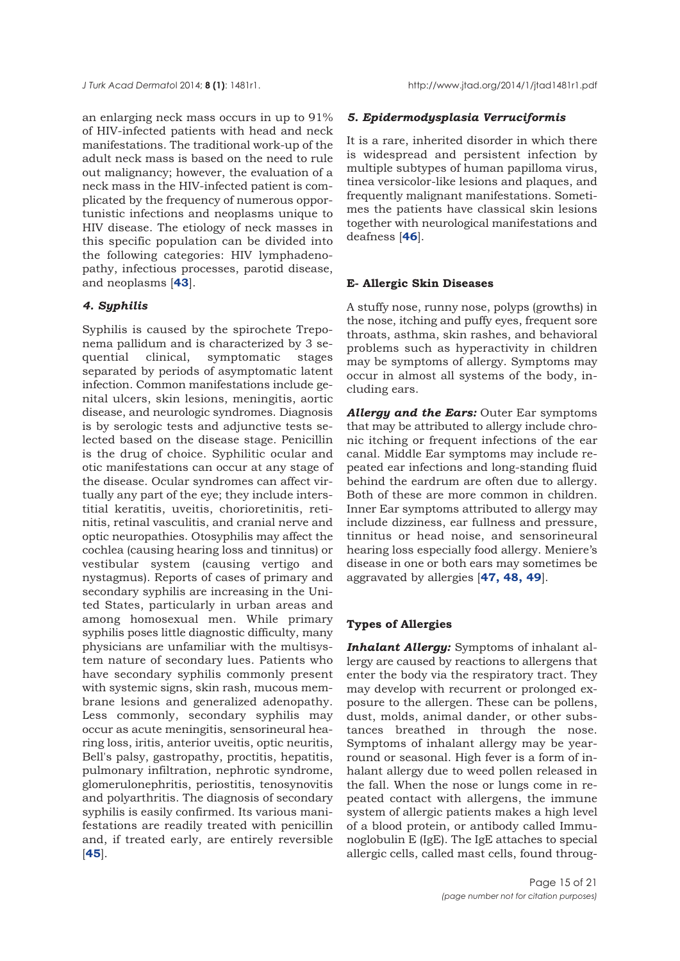an enlarging neck mass occurs in up to 91% of HIV-infected patients with head and neck manifestations. The traditional work-up of the adult neck mass is based on the need to rule out malignancy; however, the evaluation of a neck mass in the HIV-infected patient is complicated by the frequency of numerous opportunistic infections and neoplasms unique to HIV disease. The etiology of neck masses in this specific population can be divided into the following categories: HIV lymphadenopathy, infectious processes, parotid disease, and neoplasms [**43**].

## *4. Syphilis*

Syphilis is caused by the spirochete Treponema pallidum and is characterized by 3 sequential clinical, symptomatic stages separated by periods of asymptomatic latent infection. Common manifestations include genital ulcers, skin lesions, meningitis, aortic disease, and neurologic syndromes. Diagnosis is by serologic tests and adjunctive tests selected based on the disease stage. Penicillin is the drug of choice. Syphilitic ocular and otic manifestations can occur at any stage of the disease. Ocular syndromes can affect virtually any part of the eye; they include interstitial keratitis, uveitis, chorioretinitis, retinitis, retinal vasculitis, and cranial nerve and optic neuropathies. Otosyphilis may affect the cochlea (causing hearing loss and tinnitus) or vestibular system (causing vertigo and nystagmus). Reports of cases of primary and secondary syphilis are increasing in the United States, particularly in urban areas and among homosexual men. While primary syphilis poses little diagnostic difficulty, many physicians are unfamiliar with the multisystem nature of secondary lues. Patients who have secondary syphilis commonly present with systemic signs, skin rash, mucous membrane lesions and generalized adenopathy. Less commonly, secondary syphilis may occur as acute meningitis, sensorineural hearing loss, iritis, anterior uveitis, optic neuritis, Bell's palsy, gastropathy, proctitis, hepatitis, pulmonary infiltration, nephrotic syndrome, glomerulonephritis, periostitis, tenosynovitis and polyarthritis. The diagnosis of secondary syphilis is easily confirmed. Its various manifestations are readily treated with penicillin and, if treated early, are entirely reversible [**45**].

#### *5. Epidermodysplasia Verruciformis*

It is a rare, inherited disorder in which there is widespread and persistent infection by multiple subtypes of human papilloma virus, tinea versicolor-like lesions and plaques, and frequently malignant manifestations. Sometimes the patients have classical skin lesions together with neurological manifestations and deafness [**46**].

#### **E- Allergic Skin Diseases**

A stuffy nose, runny nose, polyps (growths) in the nose, itching and puffy eyes, frequent sore throats, asthma, skin rashes, and behavioral problems such as hyperactivity in children may be symptoms of allergy. Symptoms may occur in almost all systems of the body, including ears.

*Allergy and the Ears:* Outer Ear symptoms that may be attributed to allergy include chronic itching or frequent infections of the ear canal. Middle Ear symptoms may include repeated ear infections and long-standing fluid behind the eardrum are often due to allergy. Both of these are more common in children. Inner Ear symptoms attributed to allergy may include dizziness, ear fullness and pressure, tinnitus or head noise, and sensorineural hearing loss especially food allergy. Meniere's disease in one or both ears may sometimes be aggravated by allergies [**47, 48, 49**].

## **Types of Allergies**

*Inhalant Allergy:* Symptoms of inhalant allergy are caused by reactions to allergens that enter the body via the respiratory tract. They may develop with recurrent or prolonged exposure to the allergen. These can be pollens, dust, molds, animal dander, or other substances breathed in through the nose. Symptoms of inhalant allergy may be yearround or seasonal. High fever is a form of inhalant allergy due to weed pollen released in the fall. When the nose or lungs come in repeated contact with allergens, the immune system of allergic patients makes a high level of a blood protein, or antibody called Immunoglobulin E (IgE). The IgE attaches to special allergic cells, called mast cells, found throug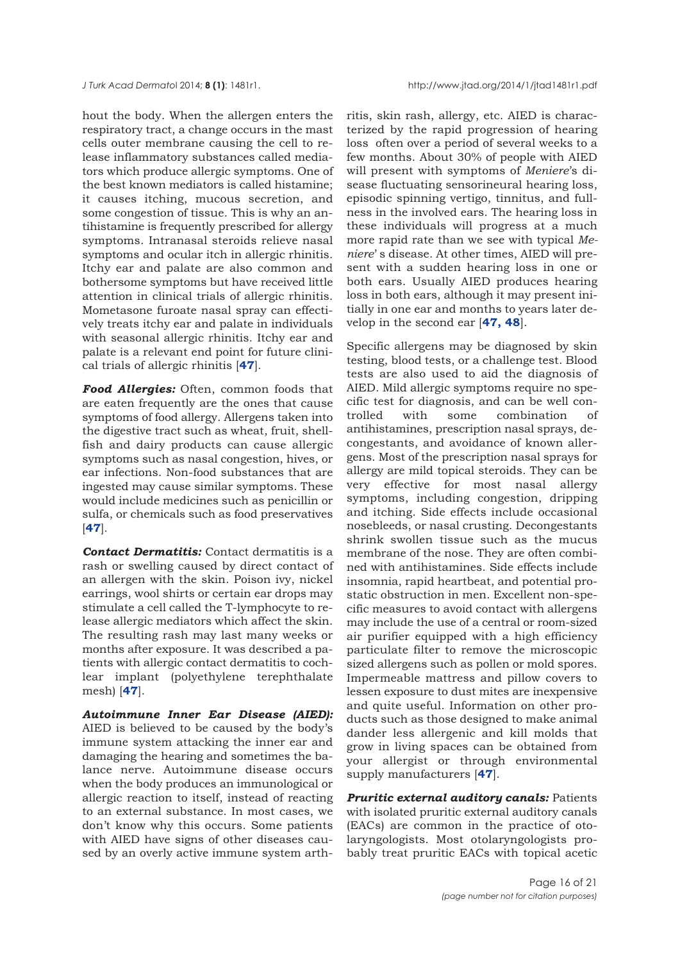hout the body. When the allergen enters the respiratory tract, a change occurs in the mast cells outer membrane causing the cell to release inflammatory substances called mediators which produce allergic symptoms. One of the best known mediators is called histamine; it causes itching, mucous secretion, and some congestion of tissue. This is why an antihistamine is frequently prescribed for allergy symptoms. Intranasal steroids relieve nasal symptoms and ocular itch in allergic rhinitis. Itchy ear and palate are also common and bothersome symptoms but have received little attention in clinical trials of allergic rhinitis. Mometasone furoate nasal spray can effectively treats itchy ear and palate in individuals with seasonal allergic rhinitis. Itchy ear and palate is a relevant end point for future clinical trials of allergic rhinitis [**47**].

*Food Allergies:* Often, common foods that are eaten frequently are the ones that cause symptoms of food allergy. Allergens taken into the digestive tract such as wheat, fruit, shellfish and dairy products can cause allergic symptoms such as nasal congestion, hives, or ear infections. Non-food substances that are ingested may cause similar symptoms. These would include medicines such as penicillin or sulfa, or chemicals such as food preservatives [**47**].

*Contact Dermatitis:* Contact dermatitis is a rash or swelling caused by direct contact of an allergen with the skin. Poison ivy, nickel earrings, wool shirts or certain ear drops may stimulate a cell called the T-lymphocyte to release allergic mediators which affect the skin. The resulting rash may last many weeks or months after exposure. It was described a patients with allergic contact dermatitis to cochlear implant (polyethylene terephthalate mesh) [**47**].

*Autoimmune Inner Ear Disease (AIED):* AIED is believed to be caused by the body's immune system attacking the inner ear and damaging the hearing and sometimes the balance nerve. Autoimmune disease occurs when the body produces an immunological or allergic reaction to itself, instead of reacting to an external substance. In most cases, we don't know why this occurs. Some patients with AIED have signs of other diseases caused by an overly active immune system arthritis, skin rash, allergy, etc. AIED is characterized by the rapid progression of hearing loss often over a period of several weeks to a few months. About 30% of people with AIED will present with symptoms of *Meniere*'s disease fluctuating sensorineural hearing loss, episodic spinning vertigo, tinnitus, and fullness in the involved ears. The hearing loss in these individuals will progress at a much more rapid rate than we see with typical *Meniere*' s disease. At other times, AIED will present with a sudden hearing loss in one or both ears. Usually AIED produces hearing loss in both ears, although it may present initially in one ear and months to years later develop in the second ear [**47, 48**].

Specific allergens may be diagnosed by skin testing, blood tests, or a challenge test. Blood tests are also used to aid the diagnosis of AIED. Mild allergic symptoms require no specific test for diagnosis, and can be well controlled with some combination of antihistamines, prescription nasal sprays, decongestants, and avoidance of known allergens. Most of the prescription nasal sprays for allergy are mild topical steroids. They can be very effective for most nasal allergy symptoms, including congestion, dripping and itching. Side effects include occasional nosebleeds, or nasal crusting. Decongestants shrink swollen tissue such as the mucus membrane of the nose. They are often combined with antihistamines. Side effects include insomnia, rapid heartbeat, and potential prostatic obstruction in men. Excellent non-specific measures to avoid contact with allergens may include the use of a central or room-sized air purifier equipped with a high efficiency particulate filter to remove the microscopic sized allergens such as pollen or mold spores. Impermeable mattress and pillow covers to lessen exposure to dust mites are inexpensive and quite useful. Information on other products such as those designed to make animal dander less allergenic and kill molds that grow in living spaces can be obtained from your allergist or through environmental supply manufacturers [**47**].

*Pruritic external auditory canals:* Patients with isolated pruritic external auditory canals (EACs) are common in the practice of otolaryngologists. Most otolaryngologists probably treat pruritic EACs with topical acetic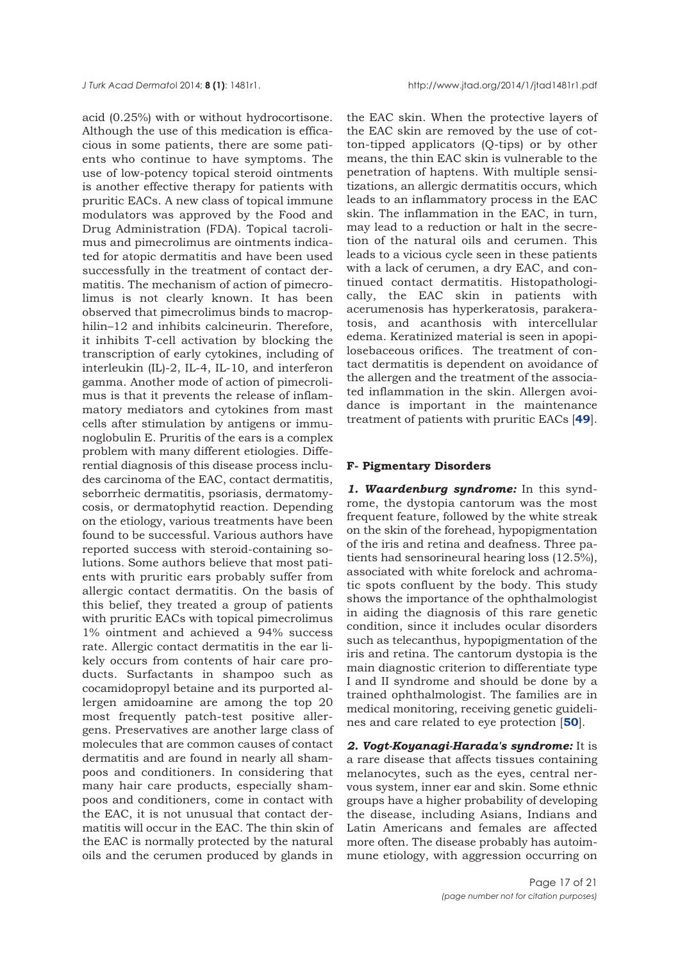acid (0.25%) with or without hydrocortisone. Although the use of this medication is efficacious in some patients, there are some patients who continue to have symptoms. The use of low-potency topical steroid ointments is another effective therapy for patients with pruritic EACs. A new class of topical immune modulators was approved by the Food and Drug Administration (FDA). Topical tacrolimus and pimecrolimus are ointments indicated for atopic dermatitis and have been used successfully in the treatment of contact dermatitis. The mechanism of action of pimecrolimus is not clearly known. It has been observed that pimecrolimus binds to macrophilin–12 and inhibits calcineurin. Therefore, it inhibits T-cell activation by blocking the transcription of early cytokines, including of interleukin (IL)-2, IL-4, IL-10, and interferon gamma. Another mode of action of pimecrolimus is that it prevents the release of inflammatory mediators and cytokines from mast cells after stimulation by antigens or immunoglobulin E. Pruritis of the ears is a complex problem with many different etiologies. Differential diagnosis of this disease process includes carcinoma of the EAC, contact dermatitis, seborrheic dermatitis, psoriasis, dermatomycosis, or dermatophytid reaction. Depending on the etiology, various treatments have been found to be successful. Various authors have reported success with steroid-containing solutions. Some authors believe that most patients with pruritic ears probably suffer from allergic contact dermatitis. On the basis of this belief, they treated a group of patients with pruritic EACs with topical pimecrolimus 1% ointment and achieved a 94% success rate. Allergic contact dermatitis in the ear likely occurs from contents of hair care products. Surfactants in shampoo such as cocamidopropyl betaine and its purported allergen amidoamine are among the top 20 most frequently patch-test positive allergens. Preservatives are another large class of molecules that are common causes of contact dermatitis and are found in nearly all shampoos and conditioners. In considering that many hair care products, especially shampoos and conditioners, come in contact with the EAC, it is not unusual that contact dermatitis will occur in the EAC. The thin skin of the EAC is normally protected by the natural oils and the cerumen produced by glands in

the EAC skin. When the protective layers of the EAC skin are removed by the use of cotton-tipped applicators (Q-tips) or by other means, the thin EAC skin is vulnerable to the penetration of haptens. With multiple sensitizations, an allergic dermatitis occurs, which leads to an inflammatory process in the EAC skin. The inflammation in the EAC, in turn, may lead to a reduction or halt in the secretion of the natural oils and cerumen. This leads to a vicious cycle seen in these patients with a lack of cerumen, a dry EAC, and continued contact dermatitis. Histopathologically, the EAC skin in patients with acerumenosis has hyperkeratosis, parakeratosis, and acanthosis with intercellular edema. Keratinized material is seen in apopilosebaceous orifices. The treatment of contact dermatitis is dependent on avoidance of the allergen and the treatment of the associated inflammation in the skin. Allergen avoidance is important in the maintenance treatment of patients with pruritic EACs [**49**].

#### **F- Pigmentary Disorders**

*1. Waardenburg syndrome:* In this syndrome, the dystopia cantorum was the most frequent feature, followed by the white streak on the skin of the forehead, hypopigmentation of the iris and retina and deafness. Three patients had sensorineural hearing loss (12.5%), associated with white forelock and achromatic spots confluent by the body. This study shows the importance of the ophthalmologist in aiding the diagnosis of this rare genetic condition, since it includes ocular disorders such as telecanthus, hypopigmentation of the iris and retina. The cantorum dystopia is the main diagnostic criterion to differentiate type I and II syndrome and should be done by a trained ophthalmologist. The families are in medical monitoring, receiving genetic guidelines and care related to eye protection [**50**].

*2. Vogt-Koyanagi-Harada's syndrome:* It is a rare disease that affects tissues containing melanocytes, such as the eyes, central nervous system, inner ear and skin. Some ethnic groups have a higher probability of developing the disease, including Asians, Indians and Latin Americans and females are affected more often. The disease probably has autoimmune etiology, with aggression occurring on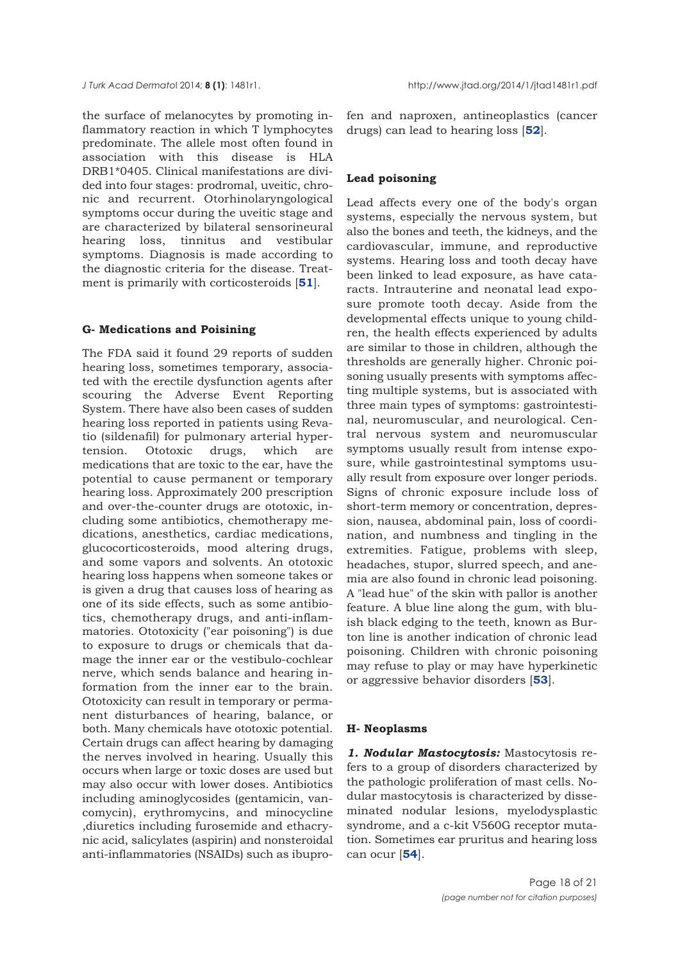the surface of melanocytes by promoting inflammatory reaction in which T lymphocytes predominate. The allele most often found in association with this disease is HLA DRB1\*0405. Clinical manifestations are divided into four stages: prodromal, uveitic, chronic and recurrent. Otorhinolaryngological symptoms occur during the uveitic stage and are characterized by bilateral sensorineural hearing loss, tinnitus and vestibular symptoms. Diagnosis is made according to the diagnostic criteria for the disease. Treatment is primarily with corticosteroids [**51**].

## **G- Medications and Poisining**

The FDA said it found 29 reports of sudden hearing loss, sometimes temporary, associated with the erectile dysfunction agents after scouring the Adverse Event Reporting System. There have also been cases of sudden hearing loss reported in patients using Revatio (sildenafil) for pulmonary arterial hypertension. Ototoxic drugs, which are medications that are toxic to the ear, have the potential to cause permanent or temporary hearing loss. Approximately 200 prescription and over-the-counter drugs are ototoxic, including some antibiotics, chemotherapy medications, anesthetics, cardiac medications, glucocorticosteroids, mood altering drugs, and some vapors and solvents. An ototoxic hearing loss happens when someone takes or is given a drug that causes loss of hearing as one of its side effects, such as some antibiotics, chemotherapy drugs, and anti-inflammatories. Ototoxicity ("ear poisoning") is due to exposure to drugs or chemicals that damage the inner ear or the vestibulo-cochlear nerve, which sends balance and hearing information from the inner ear to the brain. Ototoxicity can result in temporary or permanent disturbances of hearing, balance, or both. Many chemicals have ototoxic potential. Certain drugs can affect hearing by damaging the nerves involved in hearing. Usually this occurs when large or toxic doses are used but may also occur with lower doses. Antibiotics including aminoglycosides (gentamicin, vancomycin), erythromycins, and minocycline ,diuretics including furosemide and ethacrynic acid, salicylates (aspirin) and nonsteroidal anti-inflammatories (NSAIDs) such as ibuprofen and naproxen, antineoplastics (cancer drugs) can lead to hearing loss [**52**].

## **Lead poisoning**

Lead affects every one of the body's organ systems, especially the nervous system, but also the bones and teeth, the kidneys, and the cardiovascular, immune, and reproductive systems. Hearing loss and tooth decay have been linked to lead exposure, as have cataracts. Intrauterine and neonatal lead exposure promote tooth decay. Aside from the developmental effects unique to young children, the health effects experienced by adults are similar to those in children, although the thresholds are generally higher. Chronic poisoning usually presents with symptoms affecting multiple systems, but is associated with three main types of symptoms: gastrointestinal, neuromuscular, and neurological. Central nervous system and neuromuscular symptoms usually result from intense exposure, while gastrointestinal symptoms usually result from exposure over longer periods. Signs of chronic exposure include loss of short-term memory or concentration, depression, nausea, abdominal pain, loss of coordination, and numbness and tingling in the extremities. Fatigue, problems with sleep, headaches, stupor, slurred speech, and anemia are also found in chronic lead poisoning. A "lead hue" of the skin with pallor is another feature. A blue line along the gum, with bluish black edging to the teeth, known as Burton line is another indication of chronic lead poisoning. Children with chronic poisoning may refuse to play or may have hyperkinetic or aggressive behavior disorders [**53**].

#### **H- Neoplasms**

*1. Nodular Mastocytosis:* Mastocytosis refers to a group of disorders characterized by the pathologic proliferation of mast cells. Nodular mastocytosis is characterized by disseminated nodular lesions, myelodysplastic syndrome, and a c-kit V560G receptor mutation. Sometimes ear pruritus and hearing loss can ocur [**54**].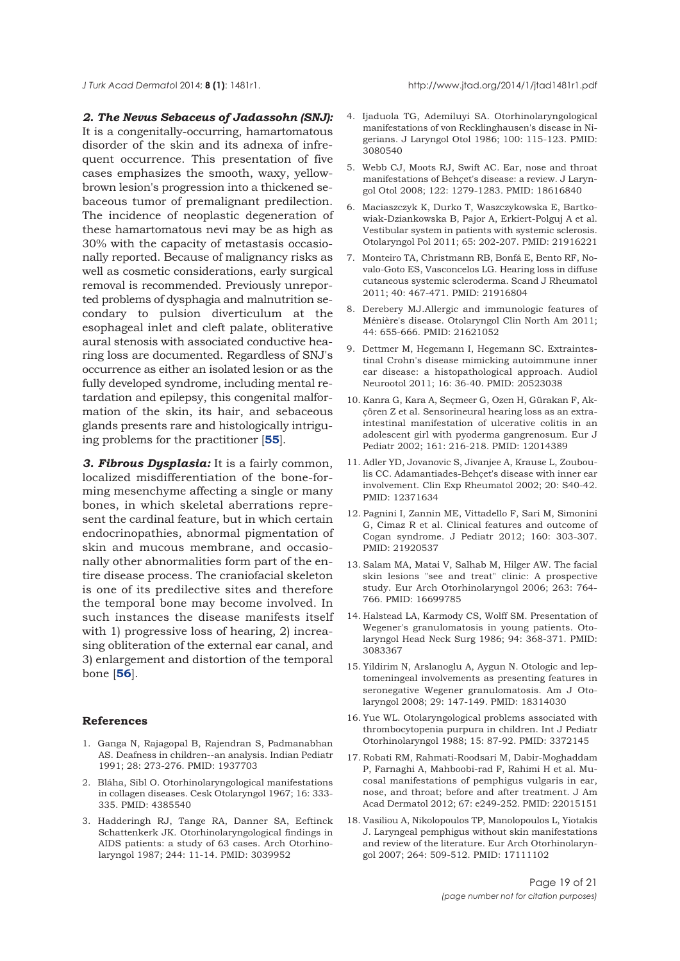*J Turk Acad Dermato*l 2014; **8 (1)**: 1481r1. http://www.jtad.org/2014/1/jtad1481r1.pdf

*2. The Nevus Sebaceus of Jadassohn (SNJ):* It is a congenitally-occurring, hamartomatous disorder of the skin and its adnexa of infrequent occurrence. This presentation of five cases emphasizes the smooth, waxy, yellowbrown lesion's progression into a thickened sebaceous tumor of premalignant predilection. The incidence of neoplastic degeneration of these hamartomatous nevi may be as high as 30% with the capacity of metastasis occasionally reported. Because of malignancy risks as well as cosmetic considerations, early surgical removal is recommended. Previously unreported problems of dysphagia and malnutrition secondary to pulsion diverticulum at the esophageal inlet and cleft palate, obliterative aural stenosis with associated conductive hearing loss are documented. Regardless of SNJ's occurrence as either an isolated lesion or as the fully developed syndrome, including mental retardation and epilepsy, this congenital malformation of the skin, its hair, and sebaceous glands presents rare and histologically intriguing problems for the practitioner [**55**].

*3. Fibrous Dysplasia:* It is a fairly common, localized misdifferentiation of the bone-forming mesenchyme affecting a single or many bones, in which skeletal aberrations represent the cardinal feature, but in which certain endocrinopathies, abnormal pigmentation of skin and mucous membrane, and occasionally other abnormalities form part of the entire disease process. The craniofacial skeleton is one of its predilective sites and therefore the temporal bone may become involved. In such instances the disease manifests itself with 1) progressive loss of hearing, 2) increasing obliteration of the external ear canal, and 3) enlargement and distortion of the temporal bone [**56**].

#### **References**

- 1. Ganga N, Rajagopal B, Rajendran S, Padmanabhan AS. Deafness in children--an analysis. Indian Pediatr 1991; 28: 273-276. PMID: 1937703
- 2. Bláha, Sibl O. Otorhinolaryngological manifestations in collagen diseases. Cesk Otolaryngol 1967; 16: 333- 335. PMID: 4385540
- 3. Hadderingh RJ, Tange RA, Danner SA, Eeftinck Schattenkerk JK. Otorhinolaryngological findings in AIDS patients: a study of 63 cases. Arch Otorhinolaryngol 1987; 244: 11-14. PMID: 3039952
- 4. Ijaduola TG, Ademiluyi SA. Otorhinolaryngological manifestations of von Recklinghausen's disease in Nigerians. J Laryngol Otol 1986; 100: 115-123. PMID: 3080540
- 5. Webb CJ, Moots RJ, Swift AC. Ear, nose and throat manifestations of Behçet's disease: a review. J Laryngol Otol 2008; 122: 1279-1283. PMID: 18616840
- 6. Maciaszczyk K, Durko T, Waszczykowska E, Bartkowiak-Dziankowska B, Pajor A, Erkiert-Polguj A et al. Vestibular system in patients with systemic sclerosis. Otolaryngol Pol 2011; 65: 202-207. PMID: 21916221
- 7. Monteiro TA, Christmann RB, Bonfá E, Bento RF, Novalo-Goto ES, Vasconcelos LG. Hearing loss in diffuse cutaneous systemic scleroderma. Scand J Rheumatol 2011; 40: 467-471. PMID: 21916804
- 8. Derebery MJ.Allergic and immunologic features of Ménière's disease. Otolaryngol Clin North Am 2011; 44: 655-666. PMID: 21621052
- 9. Dettmer M, Hegemann I, Hegemann SC. Extraintestinal Crohn's disease mimicking autoimmune inner ear disease: a histopathological approach. Audiol Neurootol 2011; 16: 36-40. PMID: 20523038
- 10. Kanra G, Kara A, Seçmeer G, Ozen H, Gürakan F, Akçören Z et al. Sensorineural hearing loss as an extraintestinal manifestation of ulcerative colitis in an adolescent girl with pyoderma gangrenosum. Eur J Pediatr 2002; 161: 216-218. PMID: 12014389
- 11. Adler YD, Jovanovic S, Jivanjee A, Krause L, Zouboulis CC. Adamantiades-Behçet's disease with inner ear involvement. Clin Exp Rheumatol 2002; 20: S40-42. PMID: 12371634
- 12. Pagnini I, Zannin ME, Vittadello F, Sari M, Simonini G, Cimaz R et al. Clinical features and outcome of Cogan syndrome. J Pediatr 2012; 160: 303-307. PMID: 21920537
- 13. Salam MA, Matai V, Salhab M, Hilger AW. The facial skin lesions "see and treat" clinic: A prospective study. Eur Arch Otorhinolaryngol 2006; 263: 764- 766. PMID: 16699785
- 14. Halstead LA, Karmody CS, Wolff SM. Presentation of Wegener's granulomatosis in young patients. Otolaryngol Head Neck Surg 1986; 94: 368-371. PMID: 3083367
- 15. Yildirim N, Arslanoglu A, Aygun N. Otologic and leptomeningeal involvements as presenting features in seronegative Wegener granulomatosis. Am J Otolaryngol 2008; 29: 147-149. PMID: 18314030
- 16. Yue WL. Otolaryngological problems associated with thrombocytopenia purpura in children. Int J Pediatr Otorhinolaryngol 1988; 15: 87-92. PMID: 3372145
- 17. Robati RM, Rahmati-Roodsari M, Dabir-Moghaddam P, Farnaghi A, Mahboobi-rad F, Rahimi H et al. Mucosal manifestations of pemphigus vulgaris in ear, nose, and throat; before and after treatment. J Am Acad Dermatol 2012; 67: e249-252. PMID: 22015151
- 18. Vasiliou A, Nikolopoulos TP, Manolopoulos L, Yiotakis J. Laryngeal pemphigus without skin manifestations and review of the literature. Eur Arch Otorhinolaryngol 2007; 264: 509-512. PMID: 17111102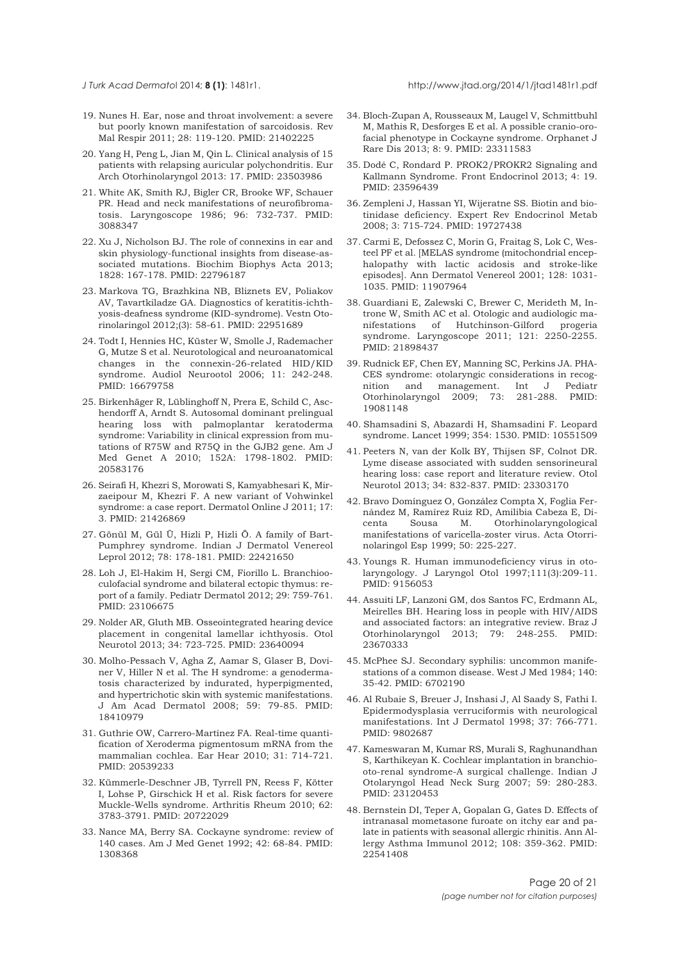- 19. Nunes H. Ear, nose and throat involvement: a severe but poorly known manifestation of sarcoidosis. Rev Mal Respir 2011; 28: 119-120. PMID: 21402225
- 20. Yang H, Peng L, Jian M, Qin L. Clinical analysis of 15 patients with relapsing auricular polychondritis. Eur Arch Otorhinolaryngol 2013: 17. PMID: 23503986
- 21. White AK, Smith RJ, Bigler CR, Brooke WF, Schauer PR. Head and neck manifestations of neurofibromatosis. Laryngoscope 1986; 96: 732-737. PMID: 3088347
- 22. Xu J, Nicholson BJ. The role of connexins in ear and skin physiology-functional insights from disease-associated mutations. Biochim Biophys Acta 2013; 1828: 167-178. PMID: 22796187
- 23. Markova TG, Brazhkina NB, Bliznets EV, Poliakov AV, Tavartkiladze GA. Diagnostics of keratitis-ichthyosis-deafness syndrome (KID-syndrome). Vestn Otorinolaringol 2012;(3): 58-61. PMID: 22951689
- 24. Todt I, Hennies HC, Küster W, Smolle J, Rademacher G, Mutze S et al. Neurotological and neuroanatomical changes in the connexin-26-related HID/KID syndrome. Audiol Neurootol 2006; 11: 242-248. PMID: 16679758
- 25. Birkenhäger R, Lüblinghoff N, Prera E, Schild C, Aschendorff A, Arndt S. Autosomal dominant prelingual hearing loss with palmoplantar keratoderma syndrome: Variability in clinical expression from mutations of R75W and R75Q in the GJB2 gene. Am J Med Genet A 2010; 152A: 1798-1802. PMID: 20583176
- 26. Seirafi H, Khezri S, Morowati S, Kamyabhesari K, Mirzaeipour M, Khezri F. A new variant of Vohwinkel syndrome: a case report. Dermatol Online J 2011; 17: 3. PMID: 21426869
- 27. Gönül M, Gül Ü, Hizli P, Hizli Ö. A family of Bart-Pumphrey syndrome. Indian J Dermatol Venereol Leprol 2012; 78: 178-181. PMID: 22421650
- 28. Loh J, El-Hakim H, Sergi CM, Fiorillo L. Branchiooculofacial syndrome and bilateral ectopic thymus: report of a family. Pediatr Dermatol 2012; 29: 759-761. PMID: 23106675
- 29. Nolder AR, Gluth MB. Osseointegrated hearing device placement in congenital lamellar ichthyosis. Otol Neurotol 2013; 34: 723-725. PMID: 23640094
- 30. Molho-Pessach V, Agha Z, Aamar S, Glaser B, Doviner V, Hiller N et al. The H syndrome: a genodermatosis characterized by indurated, hyperpigmented, and hypertrichotic skin with systemic manifestations. J Am Acad Dermatol 2008; 59: 79-85. PMID: 18410979
- 31. Guthrie OW, Carrero-Martínez FA. Real-time quantification of Xeroderma pigmentosum mRNA from the mammalian cochlea. Ear Hear 2010; 31: 714-721. PMID: 20539233
- 32. Kümmerle-Deschner JB, Tyrrell PN, Reess F, Kötter I, Lohse P, Girschick H et al. Risk factors for severe Muckle-Wells syndrome. Arthritis Rheum 2010; 62: 3783-3791. PMID: 20722029
- 33. Nance MA, Berry SA. Cockayne syndrome: review of 140 cases. Am J Med Genet 1992; 42: 68-84. PMID: 1308368
- 34. Bloch-Zupan A, Rousseaux M, Laugel V, Schmittbuhl M, Mathis R, Desforges E et al. A possible cranio-orofacial phenotype in Cockayne syndrome. Orphanet J Rare Dis 2013; 8: 9. PMID: 23311583
- 35. Dodé C, Rondard P. PROK2/PROKR2 Signaling and Kallmann Syndrome. Front Endocrinol 2013; 4: 19. PMID: 23596439
- 36. Zempleni J, Hassan YI, Wijeratne SS. Biotin and biotinidase deficiency. Expert Rev Endocrinol Metab 2008; 3: 715-724. PMID: 19727438
- 37. Carmi E, Defossez C, Morin G, Fraitag S, Lok C, Westeel PF et al. [MELAS syndrome (mitochondrial encephalopathy with lactic acidosis and stroke-like episodes]. Ann Dermatol Venereol 2001; 128: 1031- 1035. PMID: 11907964
- 38. Guardiani E, Zalewski C, Brewer C, Merideth M, Introne W, Smith AC et al. Otologic and audiologic manifestations of Hutchinson-Gilford progeria syndrome. Laryngoscope 2011; 121: 2250-2255. PMID: 21898437
- 39. Rudnick EF, Chen EY, Manning SC, Perkins JA. PHA-CES syndrome: otolaryngic considerations in recognition and management. Int J Pediatr Otorhinolaryngol 2009; 73: 281-288. PMID: 19081148
- 40. Shamsadini S, Abazardi H, Shamsadini F. Leopard syndrome. Lancet 1999; 354: 1530. PMID: 10551509
- 41. Peeters N, van der Kolk BY, Thijsen SF, Colnot DR. Lyme disease associated with sudden sensorineural hearing loss: case report and literature review. Otol Neurotol 2013; 34: 832-837. PMID: 23303170
- 42. Bravo Domínguez O, González Compta X, Foglia Fernández M, Ramírez Ruiz RD, Amilibia Cabeza E, Dicenta Sousa M. Otorhinolaryngological manifestations of varicella-zoster virus. Acta Otorrinolaringol Esp 1999; 50: 225-227.
- 43. Youngs R. Human immunodeficiency virus in otolaryngology. J Laryngol Otol 1997;111(3):209-11. PMID: 9156053
- 44. Assuiti LF, Lanzoni GM, dos Santos FC, Erdmann AL, Meirelles BH. Hearing loss in people with HIV/AIDS and associated factors: an integrative review. Braz J Otorhinolaryngol 2013; 79: 248-255. PMID: 23670333
- 45. McPhee SJ. Secondary syphilis: uncommon manifestations of a common disease. West J Med 1984; 140: 35-42. PMID: 6702190
- 46. Al Rubaie S, Breuer J, Inshasi J, Al Saady S, Fathi I. Epidermodysplasia verruciformis with neurological manifestations. Int J Dermatol 1998; 37: 766-771. PMID: 9802687
- 47. Kameswaran M, Kumar RS, Murali S, Raghunandhan S, Karthikeyan K. Cochlear implantation in branchiooto-renal syndrome-A surgical challenge. Indian J Otolaryngol Head Neck Surg 2007; 59: 280-283. PMID: 23120453
- 48. Bernstein DI, Teper A, Gopalan G, Gates D. Effects of intranasal mometasone furoate on itchy ear and palate in patients with seasonal allergic rhinitis. Ann Allergy Asthma Immunol 2012; 108: 359-362. PMID: 22541408